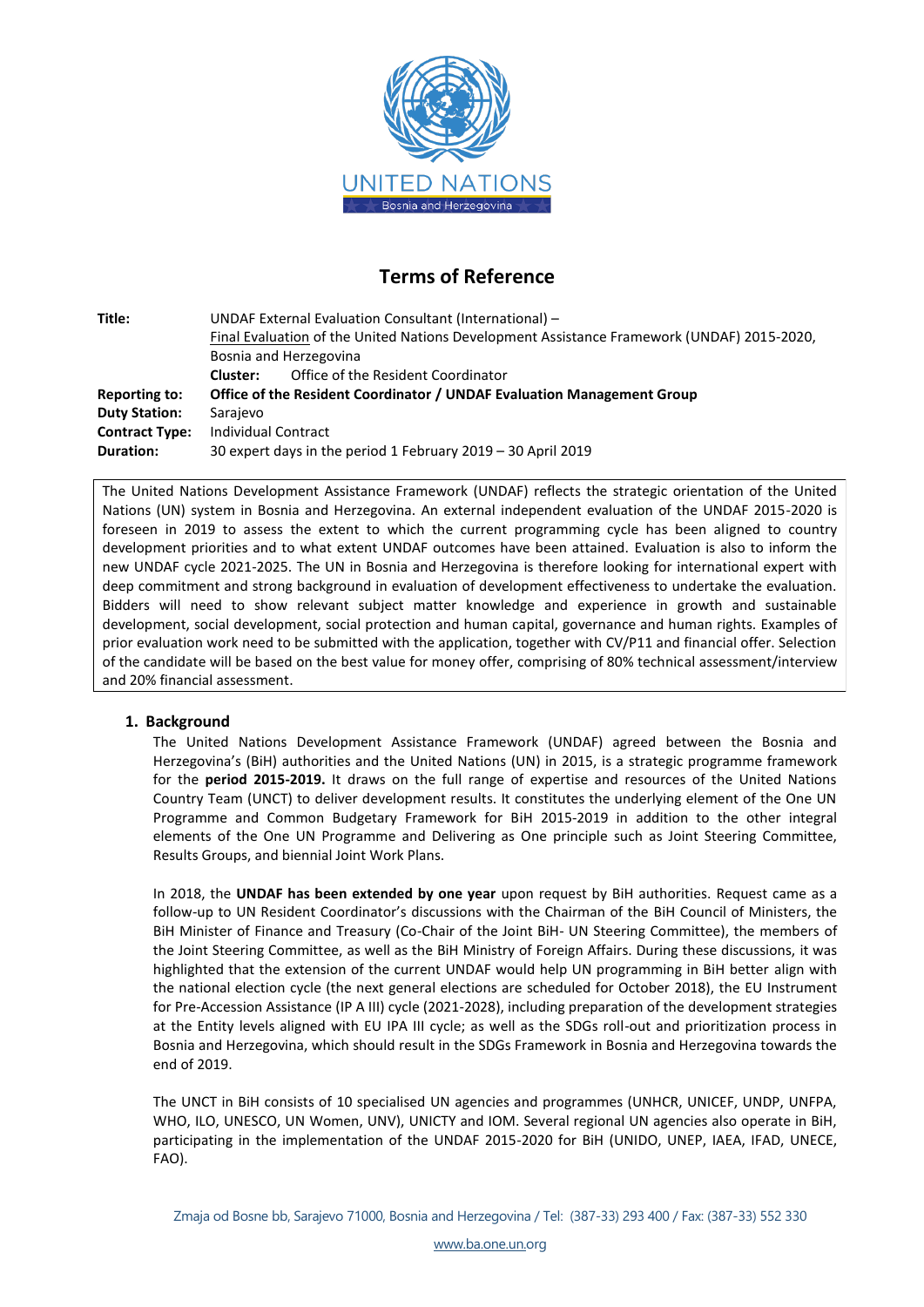

# **Terms of Reference**

| Title:                | UNDAF External Evaluation Consultant (International) -                                     |  |  |  |
|-----------------------|--------------------------------------------------------------------------------------------|--|--|--|
|                       | Final Evaluation of the United Nations Development Assistance Framework (UNDAF) 2015-2020, |  |  |  |
|                       | Bosnia and Herzegovina                                                                     |  |  |  |
|                       | Office of the Resident Coordinator<br>Cluster:                                             |  |  |  |
| Reporting to:         | Office of the Resident Coordinator / UNDAF Evaluation Management Group                     |  |  |  |
| <b>Duty Station:</b>  | Sarajevo                                                                                   |  |  |  |
| <b>Contract Type:</b> | Individual Contract                                                                        |  |  |  |
| Duration:             | 30 expert days in the period 1 February 2019 - 30 April 2019                               |  |  |  |

The United Nations Development Assistance Framework (UNDAF) reflects the strategic orientation of the United Nations (UN) system in Bosnia and Herzegovina. An external independent evaluation of the UNDAF 2015-2020 is foreseen in 2019 to assess the extent to which the current programming cycle has been aligned to country development priorities and to what extent UNDAF outcomes have been attained. Evaluation is also to inform the new UNDAF cycle 2021-2025. The UN in Bosnia and Herzegovina is therefore looking for international expert with deep commitment and strong background in evaluation of development effectiveness to undertake the evaluation. Bidders will need to show relevant subject matter knowledge and experience in growth and sustainable development, social development, social protection and human capital, governance and human rights. Examples of prior evaluation work need to be submitted with the application, together with CV/P11 and financial offer. Selection of the candidate will be based on the best value for money offer, comprising of 80% technical assessment/interview and 20% financial assessment.

# **1. Background**

The United Nations Development Assistance Framework (UNDAF) agreed between the Bosnia and Herzegovina's (BiH) authorities and the United Nations (UN) in 2015, is a strategic programme framework for the **period 2015-2019.** It draws on the full range of expertise and resources of the United Nations Country Team (UNCT) to deliver development results. It constitutes the underlying element of the One UN Programme and Common Budgetary Framework for BiH 2015-2019 in addition to the other integral elements of the One UN Programme and Delivering as One principle such as Joint Steering Committee, Results Groups, and biennial Joint Work Plans.

In 2018, the **UNDAF has been extended by one year** upon request by BiH authorities. Request came as a follow-up to UN Resident Coordinator's discussions with the Chairman of the BiH Council of Ministers, the BiH Minister of Finance and Treasury (Co-Chair of the Joint BiH- UN Steering Committee), the members of the Joint Steering Committee, as well as the BiH Ministry of Foreign Affairs. During these discussions, it was highlighted that the extension of the current UNDAF would help UN programming in BiH better align with the national election cycle (the next general elections are scheduled for October 2018), the EU Instrument for Pre-Accession Assistance (IP A III) cycle (2021-2028), including preparation of the development strategies at the Entity levels aligned with EU IPA III cycle; as well as the SDGs roll-out and prioritization process in Bosnia and Herzegovina, which should result in the SDGs Framework in Bosnia and Herzegovina towards the end of 2019.

The UNCT in BiH consists of 10 specialised UN agencies and programmes (UNHCR, UNICEF, UNDP, UNFPA, WHO, ILO, UNESCO, UN Women, UNV), UNICTY and IOM. Several regional UN agencies also operate in BiH, participating in the implementation of the UNDAF 2015-2020 for BiH (UNIDO, UNEP, IAEA, IFAD, UNECE, FAO).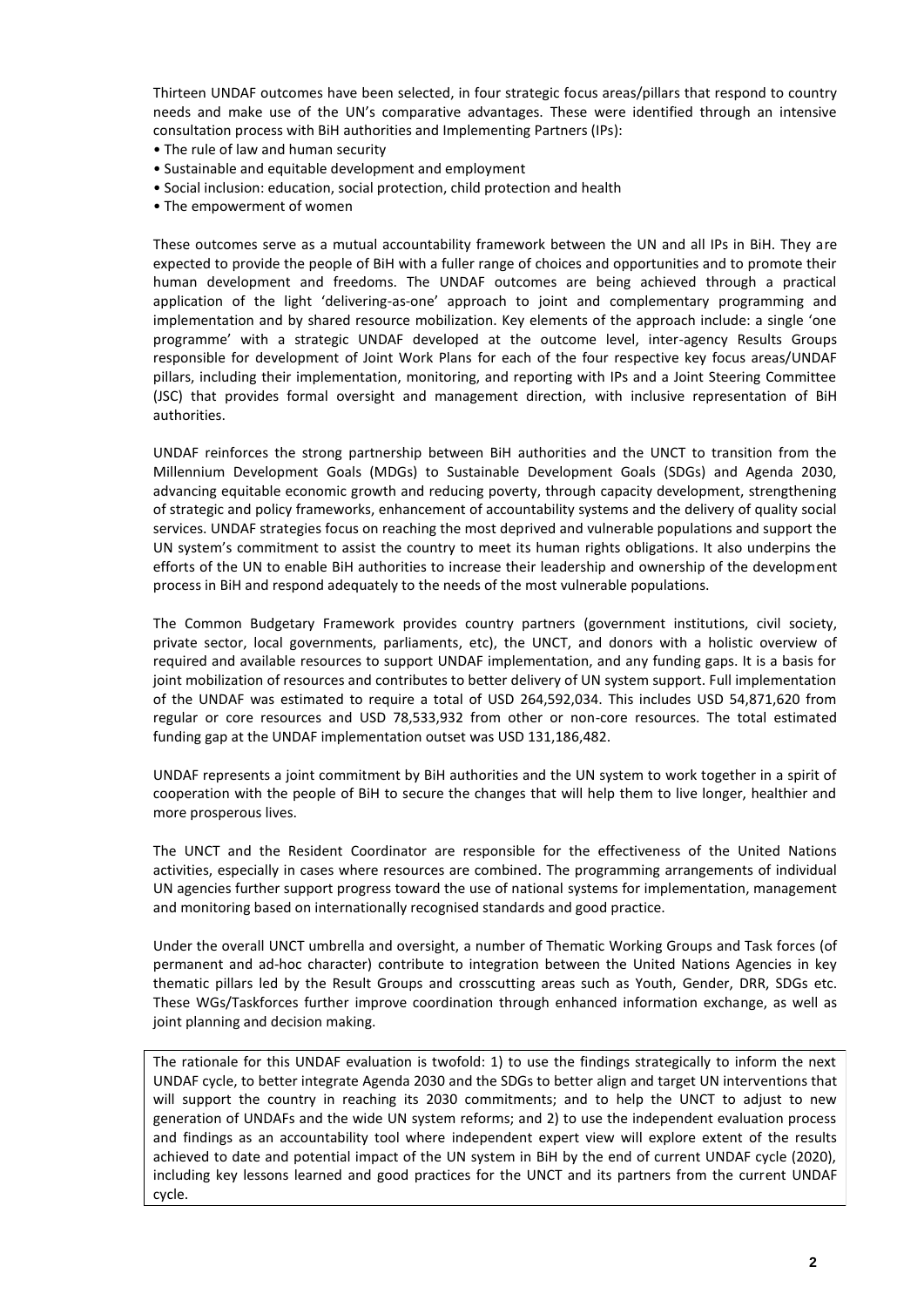Thirteen UNDAF outcomes have been selected, in four strategic focus areas/pillars that respond to country needs and make use of the UN's comparative advantages. These were identified through an intensive consultation process with BiH authorities and Implementing Partners (IPs):

- The rule of law and human security
- Sustainable and equitable development and employment
- Social inclusion: education, social protection, child protection and health
- The empowerment of women

These outcomes serve as a mutual accountability framework between the UN and all IPs in BiH. They are expected to provide the people of BiH with a fuller range of choices and opportunities and to promote their human development and freedoms. The UNDAF outcomes are being achieved through a practical application of the light 'delivering-as-one' approach to joint and complementary programming and implementation and by shared resource mobilization. Key elements of the approach include: a single 'one programme' with a strategic UNDAF developed at the outcome level, inter-agency Results Groups responsible for development of Joint Work Plans for each of the four respective key focus areas/UNDAF pillars, including their implementation, monitoring, and reporting with IPs and a Joint Steering Committee (JSC) that provides formal oversight and management direction, with inclusive representation of BiH authorities.

UNDAF reinforces the strong partnership between BiH authorities and the UNCT to transition from the Millennium Development Goals (MDGs) to Sustainable Development Goals (SDGs) and Agenda 2030, advancing equitable economic growth and reducing poverty, through capacity development, strengthening of strategic and policy frameworks, enhancement of accountability systems and the delivery of quality social services. UNDAF strategies focus on reaching the most deprived and vulnerable populations and support the UN system's commitment to assist the country to meet its human rights obligations. It also underpins the efforts of the UN to enable BiH authorities to increase their leadership and ownership of the development process in BiH and respond adequately to the needs of the most vulnerable populations.

The Common Budgetary Framework provides country partners (government institutions, civil society, private sector, local governments, parliaments, etc), the UNCT, and donors with a holistic overview of required and available resources to support UNDAF implementation, and any funding gaps. It is a basis for joint mobilization of resources and contributes to better delivery of UN system support. Full implementation of the UNDAF was estimated to require a total of USD 264,592,034. This includes USD 54,871,620 from regular or core resources and USD 78,533,932 from other or non-core resources. The total estimated funding gap at the UNDAF implementation outset was USD 131,186,482.

UNDAF represents a joint commitment by BiH authorities and the UN system to work together in a spirit of cooperation with the people of BiH to secure the changes that will help them to live longer, healthier and more prosperous lives.

The UNCT and the Resident Coordinator are responsible for the effectiveness of the United Nations activities, especially in cases where resources are combined. The programming arrangements of individual UN agencies further support progress toward the use of national systems for implementation, management and monitoring based on internationally recognised standards and good practice.

Under the overall UNCT umbrella and oversight, a number of Thematic Working Groups and Task forces (of permanent and ad-hoc character) contribute to integration between the United Nations Agencies in key thematic pillars led by the Result Groups and crosscutting areas such as Youth, Gender, DRR, SDGs etc. These WGs/Taskforces further improve coordination through enhanced information exchange, as well as joint planning and decision making.

The rationale for this UNDAF evaluation is twofold: 1) to use the findings strategically to inform the next UNDAF cycle, to better integrate Agenda 2030 and the SDGs to better align and target UN interventions that will support the country in reaching its 2030 commitments; and to help the UNCT to adjust to new generation of UNDAFs and the wide UN system reforms; and 2) to use the independent evaluation process and findings as an accountability tool where independent expert view will explore extent of the results achieved to date and potential impact of the UN system in BiH by the end of current UNDAF cycle (2020), including key lessons learned and good practices for the UNCT and its partners from the current UNDAF cycle.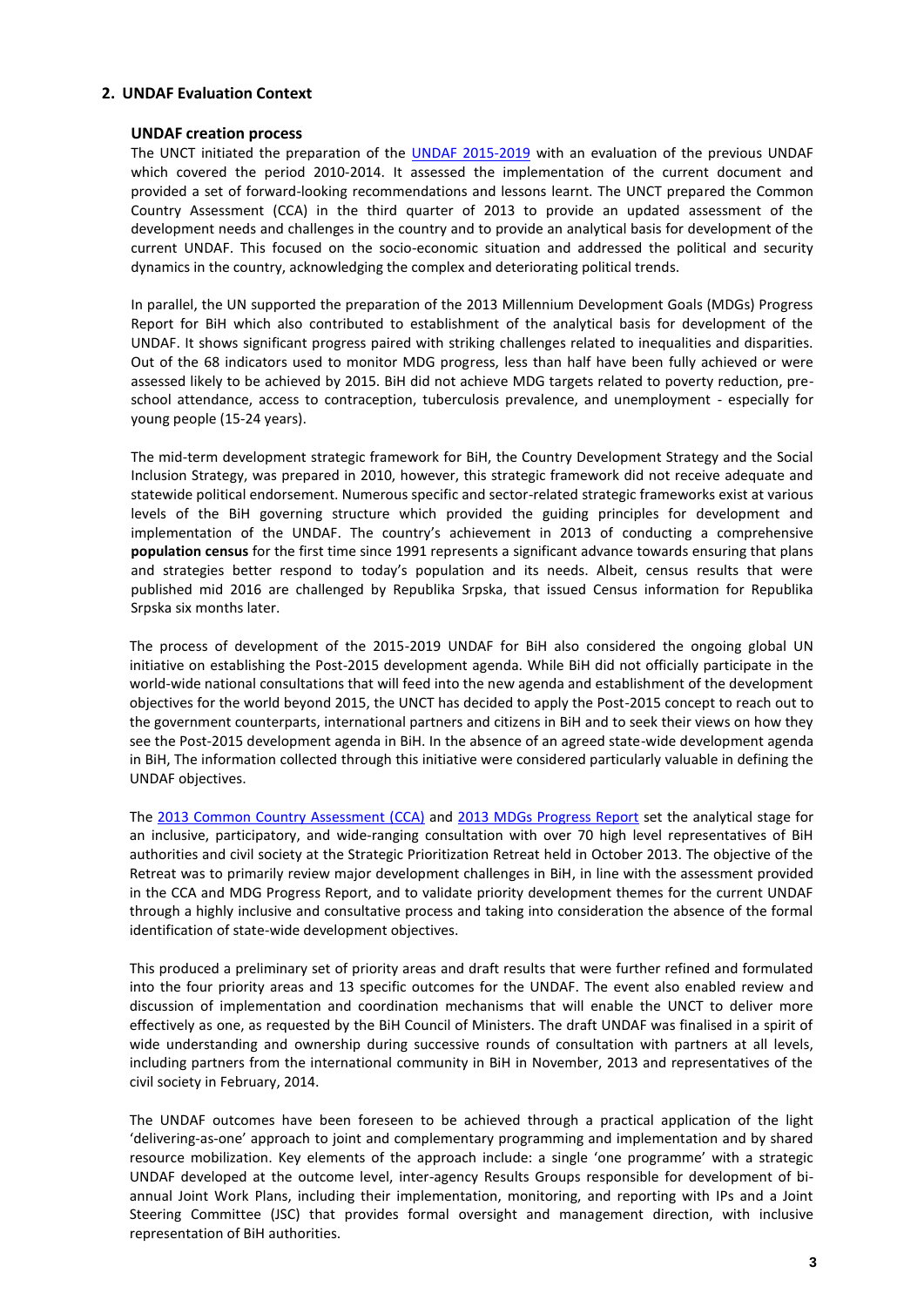# **2. UNDAF Evaluation Context**

## **UNDAF creation process**

The UNCT initiated the preparation of the [UNDAF 2015-2019](http://ba.one.un.org/content/unct/bosnia_and_herzegovina/en/home/publications/one-united-nations-programme-and-common-budgetary-framework-bosn.html) with an evaluation of the previous UNDAF which covered the period 2010-2014. It assessed the implementation of the current document and provided a set of forward-looking recommendations and lessons learnt. The UNCT prepared the Common Country Assessment (CCA) in the third quarter of 2013 to provide an updated assessment of the development needs and challenges in the country and to provide an analytical basis for development of the current UNDAF. This focused on the socio-economic situation and addressed the political and security dynamics in the country, acknowledging the complex and deteriorating political trends.

In parallel, the UN supported the preparation of the 2013 Millennium Development Goals (MDGs) Progress Report for BiH which also contributed to establishment of the analytical basis for development of the UNDAF. It shows significant progress paired with striking challenges related to inequalities and disparities. Out of the 68 indicators used to monitor MDG progress, less than half have been fully achieved or were assessed likely to be achieved by 2015. BiH did not achieve MDG targets related to poverty reduction, preschool attendance, access to contraception, tuberculosis prevalence, and unemployment - especially for young people (15-24 years).

The mid-term development strategic framework for BiH, the Country Development Strategy and the Social Inclusion Strategy, was prepared in 2010, however, this strategic framework did not receive adequate and statewide political endorsement. Numerous specific and sector-related strategic frameworks exist at various levels of the BiH governing structure which provided the guiding principles for development and implementation of the UNDAF. The country's achievement in 2013 of conducting a comprehensive **population census** for the first time since 1991 represents a significant advance towards ensuring that plans and strategies better respond to today's population and its needs. Albeit, census results that were published mid 2016 are challenged by Republika Srpska, that issued Census information for Republika Srpska six months later.

The process of development of the 2015-2019 UNDAF for BiH also considered the ongoing global UN initiative on establishing the Post-2015 development agenda. While BiH did not officially participate in the world-wide national consultations that will feed into the new agenda and establishment of the development objectives for the world beyond 2015, the UNCT has decided to apply the Post-2015 concept to reach out to the government counterparts, international partners and citizens in BiH and to seek their views on how they see the Post-2015 development agenda in BiH. In the absence of an agreed state-wide development agenda in BiH, The information collected through this initiative were considered particularly valuable in defining the UNDAF objectives.

The [2013 Common Country Assessment \(CCA\)](http://ba.one.un.org/content/unct/bosnia_and_herzegovina/en/home/publications/common-country-assessment1/) and [2013 MDGs Progress Report](http://www.ba.undp.org/content/bosnia_and_herzegovina/en/home/library/mdg/-napredak-u-realizaciji-milenijumskih-razvojnih-ciljeva-u-bih-20.html) set the analytical stage for an inclusive, participatory, and wide-ranging consultation with over 70 high level representatives of BiH authorities and civil society at the Strategic Prioritization Retreat held in October 2013. The objective of the Retreat was to primarily review major development challenges in BiH, in line with the assessment provided in the CCA and MDG Progress Report, and to validate priority development themes for the current UNDAF through a highly inclusive and consultative process and taking into consideration the absence of the formal identification of state-wide development objectives.

This produced a preliminary set of priority areas and draft results that were further refined and formulated into the four priority areas and 13 specific outcomes for the UNDAF. The event also enabled review and discussion of implementation and coordination mechanisms that will enable the UNCT to deliver more effectively as one, as requested by the BiH Council of Ministers. The draft UNDAF was finalised in a spirit of wide understanding and ownership during successive rounds of consultation with partners at all levels, including partners from the international community in BiH in November, 2013 and representatives of the civil society in February, 2014.

The UNDAF outcomes have been foreseen to be achieved through a practical application of the light 'delivering-as-one' approach to joint and complementary programming and implementation and by shared resource mobilization. Key elements of the approach include: a single 'one programme' with a strategic UNDAF developed at the outcome level, inter-agency Results Groups responsible for development of biannual Joint Work Plans, including their implementation, monitoring, and reporting with IPs and a Joint Steering Committee (JSC) that provides formal oversight and management direction, with inclusive representation of BiH authorities.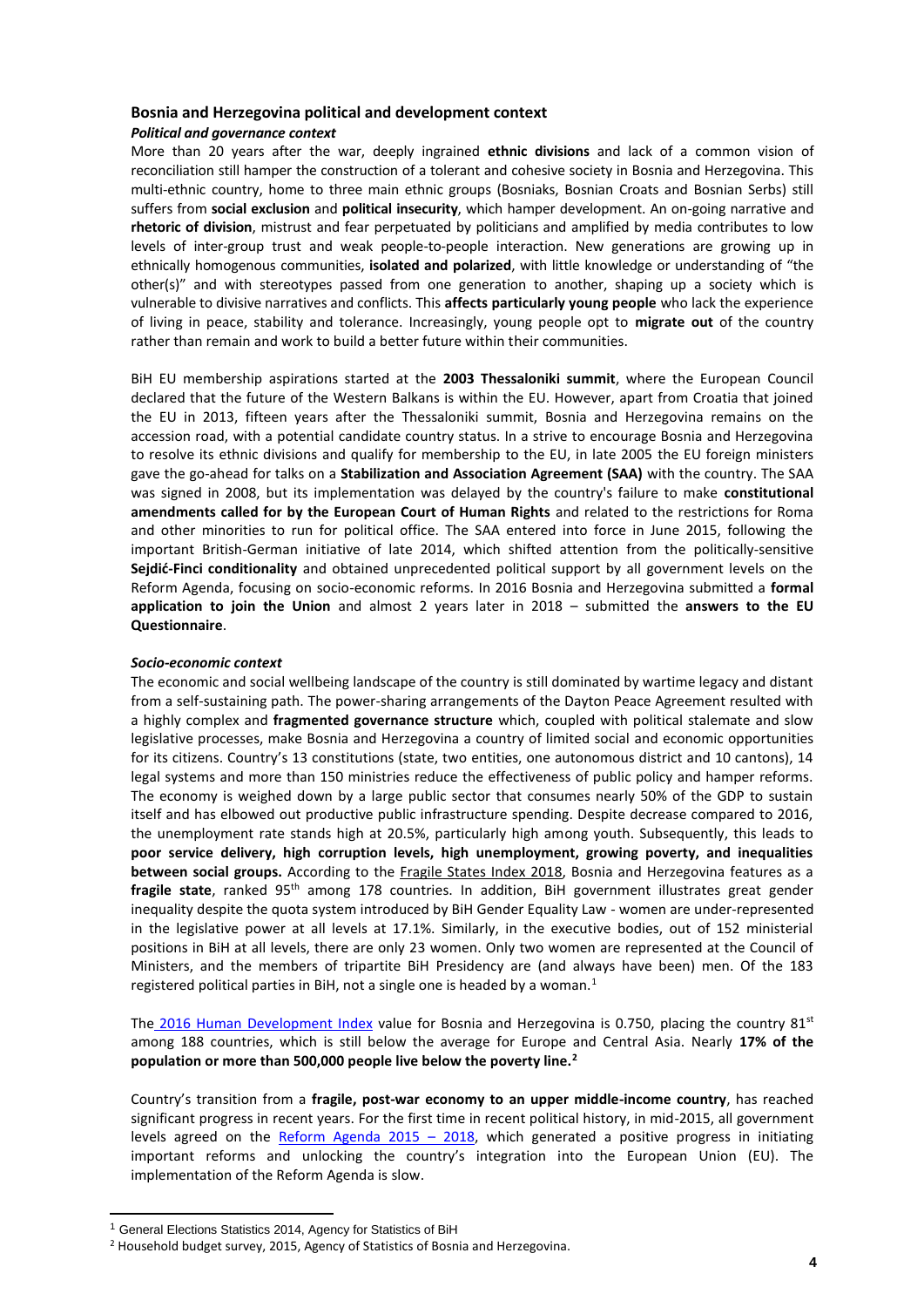# **Bosnia and Herzegovina political and development context** *Political and governance context*

More than 20 years after the war, deeply ingrained **ethnic divisions** and lack of a common vision of reconciliation still hamper the construction of a tolerant and cohesive society in Bosnia and Herzegovina. This multi-ethnic country, home to three main ethnic groups (Bosniaks, Bosnian Croats and Bosnian Serbs) still suffers from **social exclusion** and **political insecurity**, which hamper development. An on-going narrative and **rhetoric of division**, mistrust and fear perpetuated by politicians and amplified by media contributes to low levels of inter-group trust and weak people-to-people interaction. New generations are growing up in ethnically homogenous communities, **isolated and polarized**, with little knowledge or understanding of "the other(s)" and with stereotypes passed from one generation to another, shaping up a society which is vulnerable to divisive narratives and conflicts. This **affects particularly young people** who lack the experience of living in peace, stability and tolerance. Increasingly, young people opt to **migrate out** of the country rather than remain and work to build a better future within their communities.

BiH EU membership aspirations started at the **2003 Thessaloniki summit**, where the European Council declared that the future of the Western Balkans is within the EU. However, apart from Croatia that joined the EU in 2013, fifteen years after the Thessaloniki summit, Bosnia and Herzegovina remains on the accession road, with a potential candidate country status. In a strive to encourage Bosnia and Herzegovina to resolve its ethnic divisions and qualify for membership to the EU, in late 2005 the EU foreign ministers gave the go-ahead for talks on a **Stabilization and Association Agreement (SAA)** with the country. The SAA was signed in 2008, but its implementation was delayed by the country's failure to make **constitutional amendments called for by the European Court of Human Rights** and related to the restrictions for Roma and other minorities to run for political office. The SAA entered into force in June 2015, following the important British-German initiative of late 2014, which shifted attention from the politically-sensitive **Sejdić-Finci conditionality** and obtained unprecedented political support by all government levels on the Reform Agenda, focusing on socio-economic reforms. In 2016 Bosnia and Herzegovina submitted a **formal application to join the Union** and almost 2 years later in 2018 – submitted the **answers to the EU Questionnaire**.

## *Socio-economic context*

The economic and social wellbeing landscape of the country is still dominated by wartime legacy and distant from a self-sustaining path. The power-sharing arrangements of the Dayton Peace Agreement resulted with a highly complex and **fragmented governance structure** which, coupled with political stalemate and slow legislative processes, make Bosnia and Herzegovina a country of limited social and economic opportunities for its citizens. Country's 13 constitutions (state, two entities, one autonomous district and 10 cantons), 14 legal systems and more than 150 ministries reduce the effectiveness of public policy and hamper reforms. The economy is weighed down by a large public sector that consumes nearly 50% of the GDP to sustain itself and has elbowed out productive public infrastructure spending. Despite decrease compared to 2016, the unemployment rate stands high at 20.5%, particularly high among youth. Subsequently, this leads to **poor service delivery, high corruption levels, high unemployment, growing poverty, and inequalities between social groups.** According to the [Fragile States Index 2018,](http://fundforpeace.org/fsi/2018/04/19/fragile-states-index-2018-issues-of-fragility-touch-the-worlds-richest-and-most-developed-countries-in-2018/) Bosnia and Herzegovina features as a fragile state, ranked 95<sup>th</sup> among 178 countries. In addition, BiH government illustrates great gender inequality despite the quota system introduced by BiH Gender Equality Law - women are under-represented in the legislative power at all levels at 17.1%. Similarly, in the executive bodies, out of 152 ministerial positions in BiH at all levels, there are only 23 women. Only two women are represented at the Council of Ministers, and the members of tripartite BiH Presidency are (and always have been) men. Of the 183 registered political parties in BiH, not a single one is headed by a woman.<sup>1</sup>

The [2016 Human Development Index](http://hdr.undp.org/en/countries/profiles/BIH) value for Bosnia and Herzegovina is 0.750, placing the country  $81^{st}$ among 188 countries, which is still below the average for Europe and Central Asia. Nearly **17% of the population or more than 500,000 people live below the poverty line.<sup>2</sup>**

Country's transition from a **fragile, post-war economy to an upper middle-income country**, has reached significant progress in recent years. For the first time in recent political history, in mid-2015, all government levels agreed on the [Reform Agenda 2015](https://europa.ba/wp-content/uploads/2015/09/Reform-Agenda-BiH.pdf) – 2018, which generated a positive progress in initiating important reforms and unlocking the country's integration into the European Union (EU). The implementation of the Reform Agenda is slow.

 $\overline{a}$ 

<sup>1</sup> General Elections Statistics 2014, Agency for Statistics of BiH

<sup>2</sup> Household budget survey, 2015, Agency of Statistics of Bosnia and Herzegovina.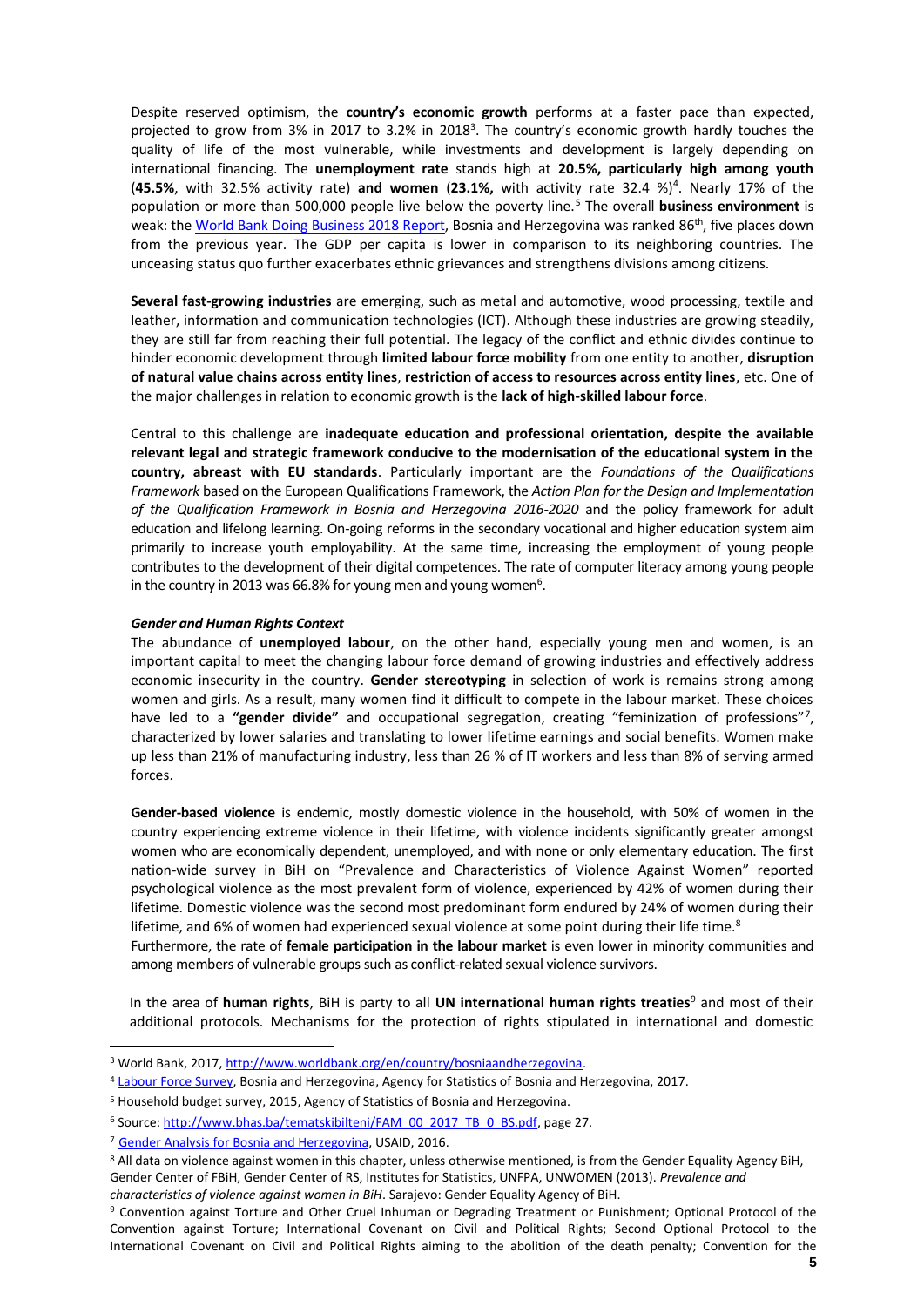Despite reserved optimism, the **country's economic growth** performs at a faster pace than expected, projected to grow from 3% in 2017 to 3.2% in 2018<sup>3</sup>. The country's economic growth hardly touches the quality of life of the most vulnerable, while investments and development is largely depending on international financing. The **unemployment rate** stands high at **20.5%, particularly high among youth**  (**45.5%**, with 32.5% activity rate) **and women** (**23.1%,** with activity rate 32.4 %)<sup>4</sup> . Nearly 17% of the population or more than 500,000 people live below the poverty line.<sup>5</sup> The overall **business environment** is weak: the [World Bank Doing Business 2018 Report,](http://www.doingbusiness.org/data/exploreeconomies/bosnia-and-herzegovina) Bosnia and Herzegovina was ranked 86<sup>th</sup>, five places down from the previous year. The GDP per capita is lower in comparison to its neighboring countries. The unceasing status quo further exacerbates ethnic grievances and strengthens divisions among citizens.

**Several fast-growing industries** are emerging, such as metal and automotive, wood processing, textile and leather, information and communication technologies (ICT). Although these industries are growing steadily, they are still far from reaching their full potential. The legacy of the conflict and ethnic divides continue to hinder economic development through **limited labour force mobility** from one entity to another, **disruption of natural value chains across entity lines**, **restriction of access to resources across entity lines**, etc. One of the major challenges in relation to economic growth is the **lack of high-skilled labour force**.

Central to this challenge are **inadequate education and professional orientation, despite the available relevant legal and strategic framework conducive to the modernisation of the educational system in the country, abreast with EU standards**. Particularly important are the *Foundations of the Qualifications Framework* based on the European Qualifications Framework, the *Action Plan for the Design and Implementation of the Qualification Framework in Bosnia and Herzegovina 2016-2020* and the policy framework for adult education and lifelong learning. On-going reforms in the secondary vocational and higher education system aim primarily to increase youth employability. At the same time, increasing the employment of young people contributes to the development of their digital competences. The rate of computer literacy among young people in the country in 2013 was 66.8% for young men and young women<sup>6</sup>.

#### *Gender and Human Rights Context*

The abundance of **unemployed labour**, on the other hand, especially young men and women, is an important capital to meet the changing labour force demand of growing industries and effectively address economic insecurity in the country. **Gender stereotyping** in selection of work is remains strong among women and girls. As a result, many women find it difficult to compete in the labour market. These choices have led to a "gender divide" and occupational segregation, creating "feminization of professions"<sup>7</sup>, characterized by lower salaries and translating to lower lifetime earnings and social benefits. Women make up less than 21% of manufacturing industry, less than 26 % of IT workers and less than 8% of serving armed forces.

**Gender-based violence** is endemic, mostly domestic violence in the household, with 50% of women in the country experiencing extreme violence in their lifetime, with violence incidents significantly greater amongst women who are economically dependent, unemployed, and with none or only elementary education. The first nation-wide survey in BiH on "Prevalence and Characteristics of Violence Against Women" reported psychological violence as the most prevalent form of violence, experienced by 42% of women during their lifetime. Domestic violence was the second most predominant form endured by 24% of women during their lifetime, and 6% of women had experienced sexual violence at some point during their life time.<sup>8</sup>

Furthermore, the rate of **female participation in the labour market** is even lower in minority communities and among members of vulnerable groups such as conflict-related sexual violence survivors.

In the area of **human rights**, BiH is party to all **UN international human rights treaties**<sup>9</sup> and most of their additional protocols. Mechanisms for the protection of rights stipulated in international and domestic

<sup>3</sup> World Bank, 2017[, http://www.worldbank.org/en/country/bosniaandherzegovina.](http://www.worldbank.org/en/country/bosniaandherzegovina) 

<sup>4</sup> [Labour Force Survey,](http://www.bhas.ba/tematskibilteni/TB_ARS%202017_BS_ENG.pdf) Bosnia and Herzegovina, Agency for Statistics of Bosnia and Herzegovina, 2017.

<sup>5</sup> Household budget survey, 2015, Agency of Statistics of Bosnia and Herzegovina.

<sup>&</sup>lt;sup>6</sup> Source[: http://www.bhas.ba/tematskibilteni/FAM\\_00\\_2017\\_TB\\_0\\_BS.pdf,](http://www.bhas.ba/tematskibilteni/FAM_00_2017_TB_0_BS.pdf) page 27.

<sup>7</sup>[Gender Analysis for Bosnia and Herzegovina,](http://measurebih.com/gender-analysis-report-for-bosnia-and-herzegovina) USAID, 2016.

<sup>8</sup> All data on violence against women in this chapter, unless otherwise mentioned, is from the Gender Equality Agency BiH,

Gender Center of FBiH, Gender Center of RS, Institutes for Statistics, UNFPA, UNWOMEN (2013). *Prevalence and* 

*characteristics of violence against women in BiH*. Sarajevo: Gender Equality Agency of BiH.

<sup>9</sup> Convention against Torture and Other Cruel Inhuman or Degrading Treatment or Punishment; Optional Protocol of the Convention against Torture; International Covenant on Civil and Political Rights; Second Optional Protocol to the International Covenant on Civil and Political Rights aiming to the abolition of the death penalty; Convention for the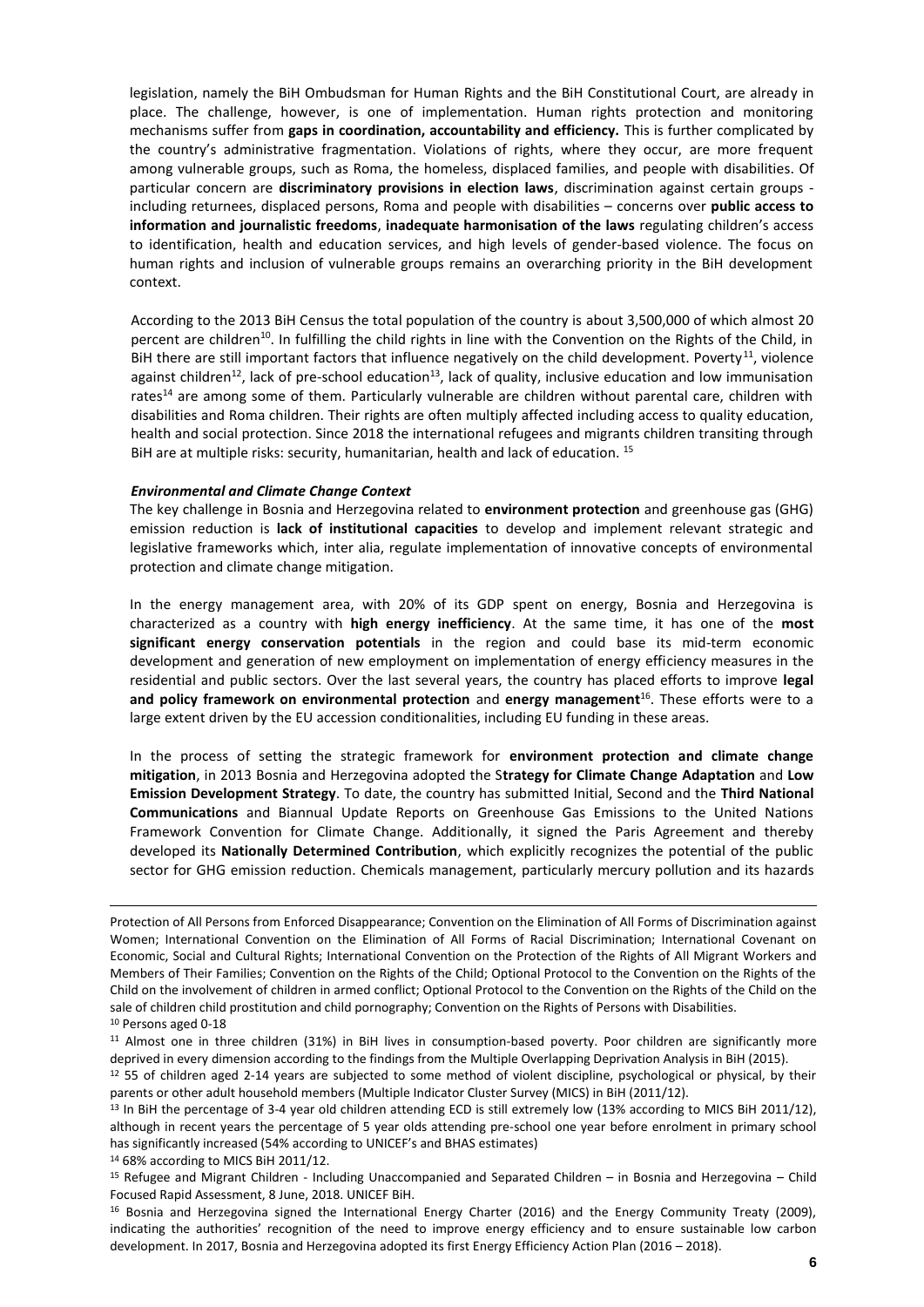legislation, namely the BiH Ombudsman for Human Rights and the BiH Constitutional Court, are already in place. The challenge, however, is one of implementation. Human rights protection and monitoring mechanisms suffer from **gaps in coordination, accountability and efficiency.** This is further complicated by the country's administrative fragmentation. Violations of rights, where they occur, are more frequent among vulnerable groups, such as Roma, the homeless, displaced families, and people with disabilities. Of particular concern are **discriminatory provisions in election laws**, discrimination against certain groups including returnees, displaced persons, Roma and people with disabilities – concerns over **public access to information and journalistic freedoms**, **inadequate harmonisation of the laws** regulating children's access to identification, health and education services, and high levels of gender-based violence. The focus on human rights and inclusion of vulnerable groups remains an overarching priority in the BiH development context.

According to the 2013 BiH Census the total population of the country is about 3,500,000 of which almost 20 percent are children<sup>10</sup>. In fulfilling the child rights in line with the Convention on the Rights of the Child, in BiH there are still important factors that influence negatively on the child development. Poverty<sup>11</sup>, violence against children<sup>12</sup>, lack of pre-school education<sup>13</sup>, lack of quality, inclusive education and low immunisation rates<sup>14</sup> are among some of them. Particularly vulnerable are children without parental care, children with disabilities and Roma children. Their rights are often multiply affected including access to quality education, health and social protection. Since 2018 the international refugees and migrants children transiting through BiH are at multiple risks: security, humanitarian, health and lack of education. <sup>15</sup>

#### *Environmental and Climate Change Context*

The key challenge in Bosnia and Herzegovina related to **environment protection** and greenhouse gas (GHG) emission reduction is **lack of institutional capacities** to develop and implement relevant strategic and legislative frameworks which, inter alia, regulate implementation of innovative concepts of environmental protection and climate change mitigation.

In the energy management area, with 20% of its GDP spent on energy, Bosnia and Herzegovina is characterized as a country with **high energy inefficiency**. At the same time, it has one of the **most significant energy conservation potentials** in the region and could base its mid-term economic development and generation of new employment on implementation of energy efficiency measures in the residential and public sectors. Over the last several years, the country has placed efforts to improve **legal and policy framework on environmental protection** and **energy management**<sup>16</sup>. These efforts were to a large extent driven by the EU accession conditionalities, including EU funding in these areas.

In the process of setting the strategic framework for **environment protection and climate change mitigation**, in 2013 Bosnia and Herzegovina adopted the S**trategy for Climate Change Adaptation** and **Low Emission Development Strategy**. To date, the country has submitted Initial, Second and the **Third National Communications** and Biannual Update Reports on Greenhouse Gas Emissions to the United Nations Framework Convention for Climate Change. Additionally, it signed the Paris Agreement and thereby developed its **Nationally Determined Contribution**, which explicitly recognizes the potential of the public sector for GHG emission reduction. Chemicals management, particularly mercury pollution and its hazards

<sup>14</sup> 68% according to MICS BiH 2011/12.

 $\overline{a}$ 

Protection of All Persons from Enforced Disappearance; Convention on the Elimination of All Forms of Discrimination against Women; International Convention on the Elimination of All Forms of Racial Discrimination; International Covenant on Economic, Social and Cultural Rights; International Convention on the Protection of the Rights of All Migrant Workers and Members of Their Families; Convention on the Rights of the Child; Optional Protocol to the Convention on the Rights of the Child on the involvement of children in armed conflict; Optional Protocol to the Convention on the Rights of the Child on the sale of children child prostitution and child pornography; Convention on the Rights of Persons with Disabilities. <sup>10</sup> Persons aged 0-18

<sup>&</sup>lt;sup>11</sup> Almost one in three children (31%) in BiH lives in consumption-based poverty. Poor children are significantly more deprived in every dimension according to the findings from the Multiple Overlapping Deprivation Analysis in BiH (2015).

<sup>12</sup> 55 of children aged 2-14 years are subjected to some method of violent discipline, psychological or physical, by their parents or other adult household members (Multiple Indicator Cluster Survey (MICS) in BiH (2011/12).

<sup>&</sup>lt;sup>13</sup> In BiH the percentage of 3-4 year old children attending ECD is still extremely low (13% according to MICS BiH 2011/12), although in recent years the percentage of 5 year olds attending pre-school one year before enrolment in primary school has significantly increased (54% according to UNICEF's and BHAS estimates)

<sup>15</sup> Refugee and Migrant Children - Including Unaccompanied and Separated Children – in Bosnia and Herzegovina – Child Focused Rapid Assessment, 8 June, 2018. UNICEF BiH.

<sup>16</sup> Bosnia and Herzegovina signed the International Energy Charter (2016) and the Energy Community Treaty (2009), indicating the authorities' recognition of the need to improve energy efficiency and to ensure sustainable low carbon development. In 2017, Bosnia and Herzegovina adopted its first Energy Efficiency Action Plan (2016 – 2018).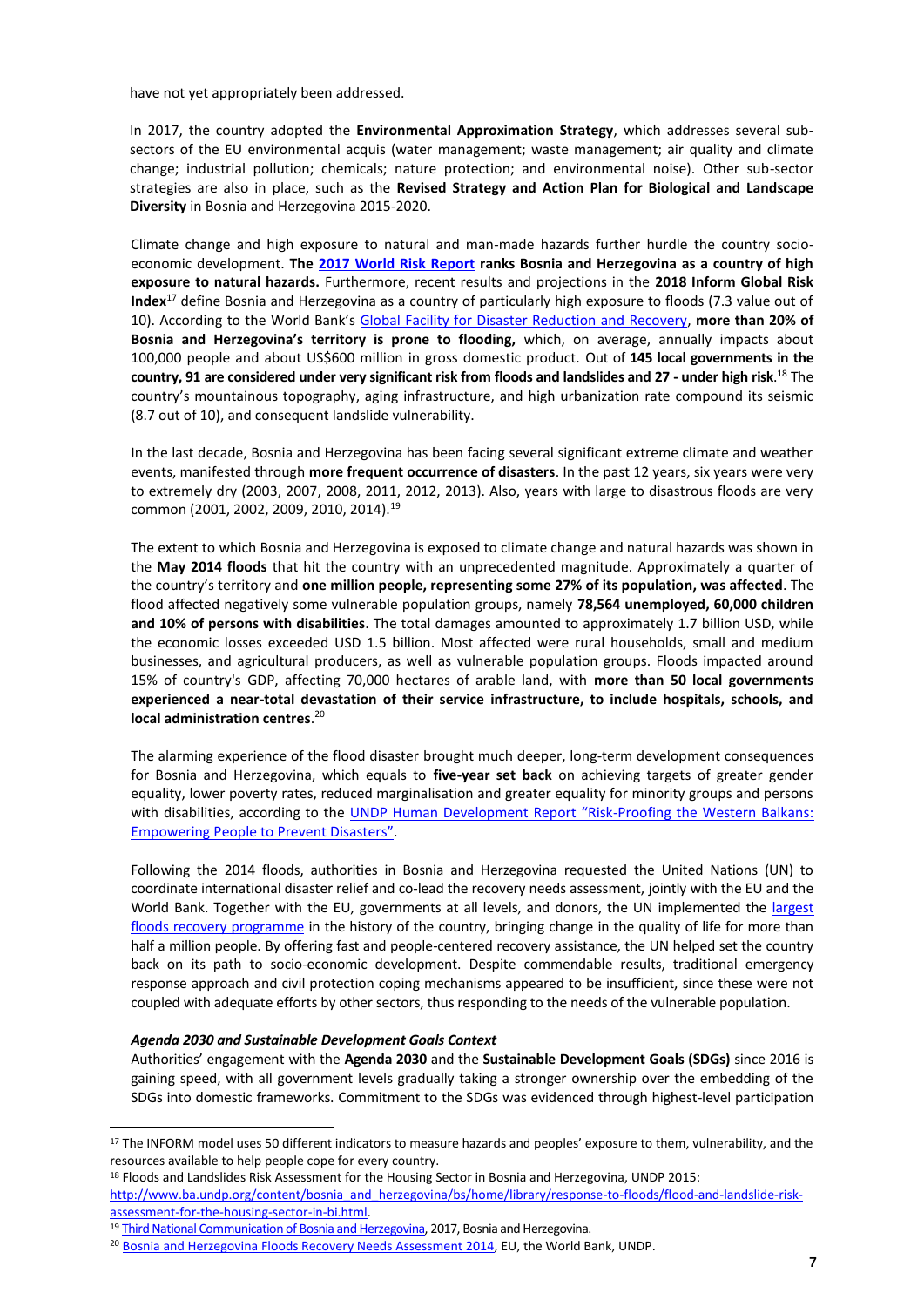have not yet appropriately been addressed.

In 2017, the country adopted the **Environmental Approximation Strategy**, which addresses several subsectors of the EU environmental acquis (water management; waste management; air quality and climate change; industrial pollution; chemicals; nature protection; and environmental noise). Other sub-sector strategies are also in place, such as the **Revised Strategy and Action Plan for Biological and Landscape Diversity** in Bosnia and Herzegovina 2015-2020.

Climate change and high exposure to natural and man-made hazards further hurdle the country socioeconomic development. **The [2017 World Risk Report](https://reliefweb.int/sites/reliefweb.int/files/resources/WRR_2017_E2.pdf) ranks Bosnia and Herzegovina as a country of high exposure to natural hazards.** Furthermore, recent results and projections in the **2018 Inform Global Risk Index**<sup>17</sup> define Bosnia and Herzegovina as a country of particularly high exposure to floods (7.3 value out of 10). According to the World Bank's [Global Facility for Disaster Reduction and Recovery,](https://www.gfdrr.org/bosnia-and-herzegovina) **more than 20% of Bosnia and Herzegovina's territory is prone to flooding,** which, on average, annually impacts about 100,000 people and about US\$600 million in gross domestic product. Out of **145 local governments in the country, 91 are considered under very significant risk from floods and landslides and 27 - under high risk**. <sup>18</sup> The country's mountainous topography, aging infrastructure, and high urbanization rate compound its seismic (8.7 out of 10), and consequent landslide vulnerability.

In the last decade, Bosnia and Herzegovina has been facing several significant extreme climate and weather events, manifested through **more frequent occurrence of disasters**. In the past 12 years, six years were very to extremely dry (2003, 2007, 2008, 2011, 2012, 2013). Also, years with large to disastrous floods are very common (2001, 2002, 2009, 2010, 2014).<sup>19</sup>

The extent to which Bosnia and Herzegovina is exposed to climate change and natural hazards was shown in the **May 2014 floods** that hit the country with an unprecedented magnitude. Approximately a quarter of the country's territory and **one million people, representing some 27% of its population, was affected**. The flood affected negatively some vulnerable population groups, namely **78,564 unemployed, 60,000 children and 10% of persons with disabilities**. The total damages amounted to approximately 1.7 billion USD, while the economic losses exceeded USD 1.5 billion. Most affected were rural households, small and medium businesses, and agricultural producers, as well as vulnerable population groups. Floods impacted around 15% of country's GDP, affecting 70,000 hectares of arable land, with **more than 50 local governments experienced a near-total devastation of their service infrastructure, to include hospitals, schools, and local administration centres**. 20

The alarming experience of the flood disaster brought much deeper, long-term development consequences for Bosnia and Herzegovina, which equals to **five-year set back** on achieving targets of greater gender equality, lower poverty rates, reduced marginalisation and greater equality for minority groups and persons with disabilities, according to the [UNDP Human Development Report "Risk](http://www.ba.undp.org/content/bosnia_and_herzegovina/en/home/library/nhdr/human-development-report--2016--risk-proofing-the-western-balkan.html)-Proofing the Western Balkans: [Empowering People to Prevent Disast](http://www.ba.undp.org/content/bosnia_and_herzegovina/en/home/library/nhdr/human-development-report--2016--risk-proofing-the-western-balkan.html)ers".

Following the 2014 floods, authorities in Bosnia and Herzegovina requested the United Nations (UN) to coordinate international disaster relief and co-lead the recovery needs assessment, jointly with the EU and the World Bank. Together with the EU, governments at all levels, and donors, the UN implemented the largest [floods recovery programme](http://www.ba.undp.org/content/bosnia_and_herzegovina/en/home/operations/projects/response_to_floods/eu_floods_recovery_programme.html) in the history of the country, bringing change in the quality of life for more than half a million people. By offering fast and people-centered recovery assistance, the UN helped set the country back on its path to socio-economic development. Despite commendable results, traditional emergency response approach and civil protection coping mechanisms appeared to be insufficient, since these were not coupled with adequate efforts by other sectors, thus responding to the needs of the vulnerable population.

#### *Agenda 2030 and Sustainable Development Goals Context*

 $\overline{a}$ 

Authorities' engagement with the **Agenda 2030** and the **Sustainable Development Goals (SDGs)** since 2016 is gaining speed, with all government levels gradually taking a stronger ownership over the embedding of the SDGs into domestic frameworks. Commitment to the SDGs was evidenced through highest-level participation

<sup>18</sup> Floods and Landslides Risk Assessment for the Housing Sector in Bosnia and Herzegovina, UNDP 2015:

[http://www.ba.undp.org/content/bosnia\\_and\\_herzegovina/bs/home/library/response-to-floods/flood-and-landslide-risk](http://www.ba.undp.org/content/bosnia_and_herzegovina/bs/home/library/response-to-floods/flood-and-landslide-risk-assessment-for-the-housing-sector-in-bi.html)[assessment-for-the-housing-sector-in-bi.html.](http://www.ba.undp.org/content/bosnia_and_herzegovina/bs/home/library/response-to-floods/flood-and-landslide-risk-assessment-for-the-housing-sector-in-bi.html)

<sup>17</sup> The INFORM model uses 50 different indicators to measure hazards and peoples' exposure to them, vulnerability, and the resources available to help people cope for every country.

<sup>&</sup>lt;sup>19</sup> [Third National Communication of Bosnia and Herzegovina,](http://www.ba.undp.org/content/bosnia_and_herzegovina/en/home/library/environment_energy/tre_i-nacionalni-izvjetaj-bih.html) 2017, Bosnia and Herzegovina.

<sup>&</sup>lt;sup>20</sup> [Bosnia and Herzegovina Floods Recovery Needs Assessment 2014,](http://europa.ba/wp-content/uploads/2015/05/delegacijaEU_2014090308560389bos.pdf) EU, the World Bank, UNDP.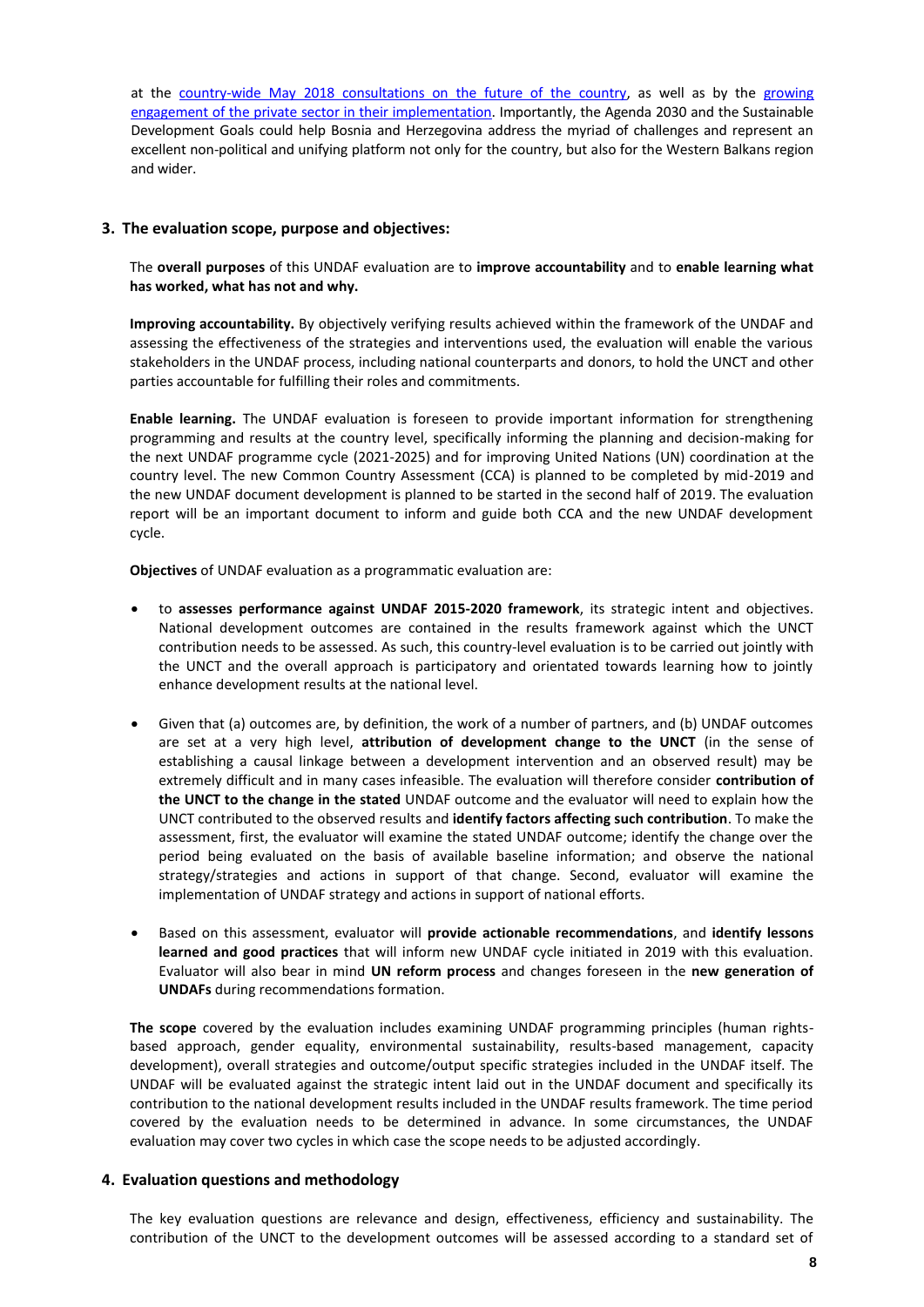at the [country-wide May 2018 consultations on the future of the country,](http://ba.one.un.org/content/unct/bosnia_and_herzegovina/en/home/presscenter/sdgs-in-focus-of-multi-stakeholder-consultations.html) as well as by the [growing](http://www.ba.undp.org/content/bosnia_and_herzegovina/en/home/presscenter/articles/2018/TheSDGBusinessConference.html)  [engagement of the private sector in their implementation.](http://www.ba.undp.org/content/bosnia_and_herzegovina/en/home/presscenter/articles/2018/TheSDGBusinessConference.html) Importantly, the Agenda 2030 and the Sustainable Development Goals could help Bosnia and Herzegovina address the myriad of challenges and represent an excellent non-political and unifying platform not only for the country, but also for the Western Balkans region and wider.

## **3. The evaluation scope, purpose and objectives:**

The **overall purposes** of this UNDAF evaluation are to **improve accountability** and to **enable learning what has worked, what has not and why.**

**Improving accountability.** By objectively verifying results achieved within the framework of the UNDAF and assessing the effectiveness of the strategies and interventions used, the evaluation will enable the various stakeholders in the UNDAF process, including national counterparts and donors, to hold the UNCT and other parties accountable for fulfilling their roles and commitments.

**Enable learning.** The UNDAF evaluation is foreseen to provide important information for strengthening programming and results at the country level, specifically informing the planning and decision-making for the next UNDAF programme cycle (2021-2025) and for improving United Nations (UN) coordination at the country level. The new Common Country Assessment (CCA) is planned to be completed by mid-2019 and the new UNDAF document development is planned to be started in the second half of 2019. The evaluation report will be an important document to inform and guide both CCA and the new UNDAF development cycle.

**Objectives** of UNDAF evaluation as a programmatic evaluation are:

- to **assesses performance against UNDAF 2015-2020 framework**, its strategic intent and objectives. National development outcomes are contained in the results framework against which the UNCT contribution needs to be assessed. As such, this country-level evaluation is to be carried out jointly with the UNCT and the overall approach is participatory and orientated towards learning how to jointly enhance development results at the national level.
- Given that (a) outcomes are, by definition, the work of a number of partners, and (b) UNDAF outcomes are set at a very high level, **attribution of development change to the UNCT** (in the sense of establishing a causal linkage between a development intervention and an observed result) may be extremely difficult and in many cases infeasible. The evaluation will therefore consider **contribution of the UNCT to the change in the stated** UNDAF outcome and the evaluator will need to explain how the UNCT contributed to the observed results and **identify factors affecting such contribution**. To make the assessment, first, the evaluator will examine the stated UNDAF outcome; identify the change over the period being evaluated on the basis of available baseline information; and observe the national strategy/strategies and actions in support of that change. Second, evaluator will examine the implementation of UNDAF strategy and actions in support of national efforts.
- Based on this assessment, evaluator will **provide actionable recommendations**, and **identify lessons learned and good practices** that will inform new UNDAF cycle initiated in 2019 with this evaluation. Evaluator will also bear in mind **UN reform process** and changes foreseen in the **new generation of UNDAFs** during recommendations formation.

**The scope** covered by the evaluation includes examining UNDAF programming principles (human rightsbased approach, gender equality, environmental sustainability, results-based management, capacity development), overall strategies and outcome/output specific strategies included in the UNDAF itself. The UNDAF will be evaluated against the strategic intent laid out in the UNDAF document and specifically its contribution to the national development results included in the UNDAF results framework. The time period covered by the evaluation needs to be determined in advance. In some circumstances, the UNDAF evaluation may cover two cycles in which case the scope needs to be adjusted accordingly.

## **4. Evaluation questions and methodology**

The key evaluation questions are relevance and design, effectiveness, efficiency and sustainability. The contribution of the UNCT to the development outcomes will be assessed according to a standard set of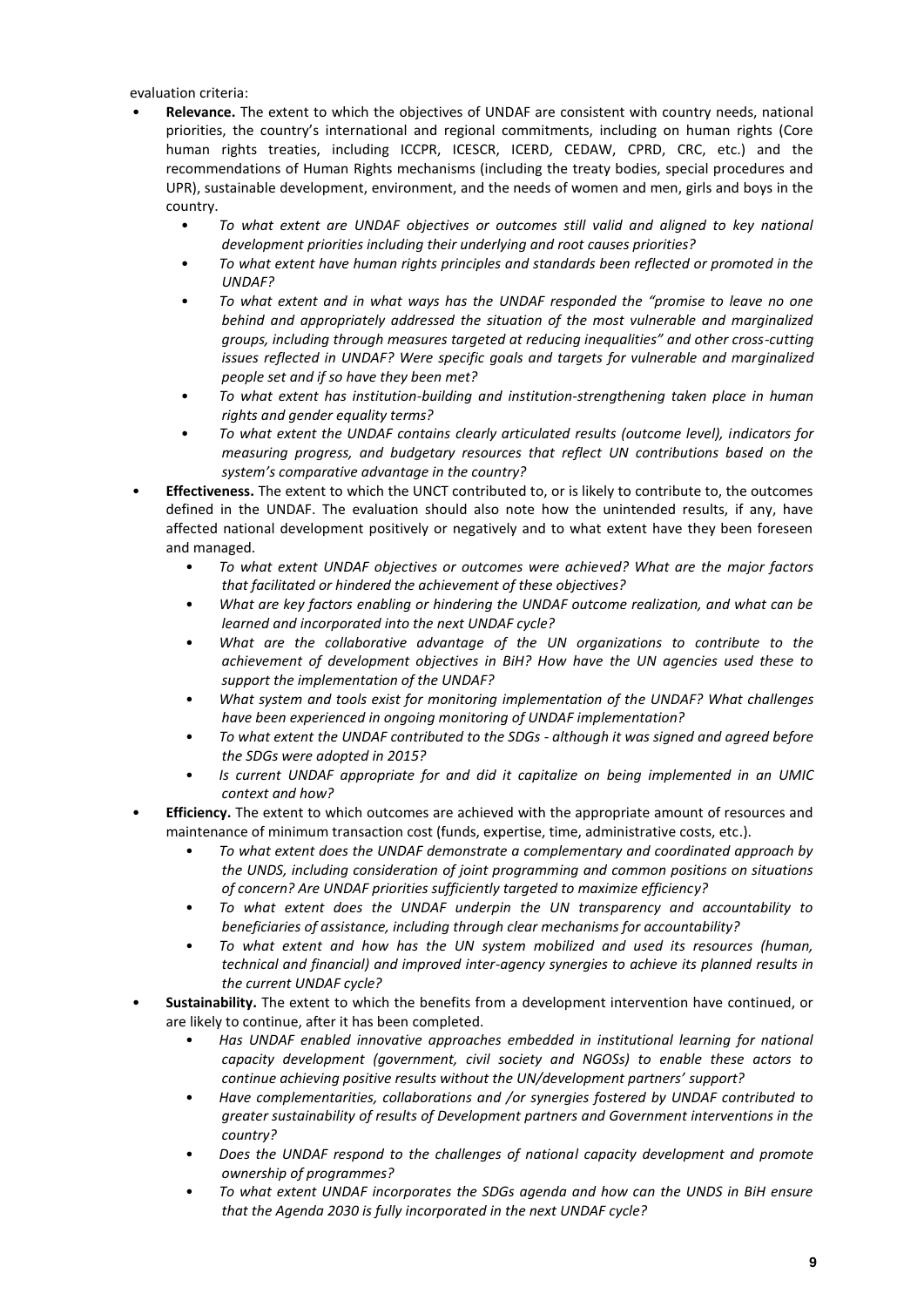evaluation criteria:

- **Relevance.** The extent to which the objectives of UNDAF are consistent with country needs, national priorities, the country's international and regional commitments, including on human rights (Core human rights treaties, including ICCPR, ICESCR, ICERD, CEDAW, CPRD, CRC, etc.) and the recommendations of Human Rights mechanisms (including the treaty bodies, special procedures and UPR), sustainable development, environment, and the needs of women and men, girls and boys in the country.
	- *To what extent are UNDAF objectives or outcomes still valid and aligned to key national development priorities including their underlying and root causes priorities?*
	- *To what extent have human rights principles and standards been reflected or promoted in the UNDAF?*
	- *To what extent and in what ways has the UNDAF responded the "promise to leave no one behind and appropriately addressed the situation of the most vulnerable and marginalized groups, including through measures targeted at reducing inequalities" and other cross-cutting issues reflected in UNDAF? Were specific goals and targets for vulnerable and marginalized people set and if so have they been met?*
	- *To what extent has institution-building and institution-strengthening taken place in human rights and gender equality terms?*
	- *To what extent the UNDAF contains clearly articulated results (outcome level), indicators for measuring progress, and budgetary resources that reflect UN contributions based on the system's comparative advantage in the country?*
- **Effectiveness.** The extent to which the UNCT contributed to, or is likely to contribute to, the outcomes defined in the UNDAF. The evaluation should also note how the unintended results, if any, have affected national development positively or negatively and to what extent have they been foreseen and managed.
	- *To what extent UNDAF objectives or outcomes were achieved? What are the major factors that facilitated or hindered the achievement of these objectives?*
	- *What are key factors enabling or hindering the UNDAF outcome realization, and what can be learned and incorporated into the next UNDAF cycle?*
	- *What are the collaborative advantage of the UN organizations to contribute to the achievement of development objectives in BiH? How have the UN agencies used these to support the implementation of the UNDAF?*
	- *What system and tools exist for monitoring implementation of the UNDAF? What challenges have been experienced in ongoing monitoring of UNDAF implementation?*
	- *To what extent the UNDAF contributed to the SDGs - although it was signed and agreed before the SDGs were adopted in 2015?*
	- *Is current UNDAF appropriate for and did it capitalize on being implemented in an UMIC context and how?*
- **Efficiency.** The extent to which outcomes are achieved with the appropriate amount of resources and maintenance of minimum transaction cost (funds, expertise, time, administrative costs, etc.).
	- *To what extent does the UNDAF demonstrate a complementary and coordinated approach by the UNDS, including consideration of joint programming and common positions on situations of concern? Are UNDAF priorities sufficiently targeted to maximize efficiency?*
	- *To what extent does the UNDAF underpin the UN transparency and accountability to beneficiaries of assistance, including through clear mechanisms for accountability?*
	- *To what extent and how has the UN system mobilized and used its resources (human, technical and financial) and improved inter-agency synergies to achieve its planned results in the current UNDAF cycle?*
- **Sustainability.** The extent to which the benefits from a development intervention have continued, or are likely to continue, after it has been completed.
	- *Has UNDAF enabled innovative approaches embedded in institutional learning for national capacity development (government, civil society and NGOSs) to enable these actors to continue achieving positive results without the UN/development partners' support?*
	- *Have complementarities, collaborations and /or synergies fostered by UNDAF contributed to greater sustainability of results of Development partners and Government interventions in the country?*
	- *Does the UNDAF respond to the challenges of national capacity development and promote ownership of programmes?*
	- *To what extent UNDAF incorporates the SDGs agenda and how can the UNDS in BiH ensure that the Agenda 2030 is fully incorporated in the next UNDAF cycle?*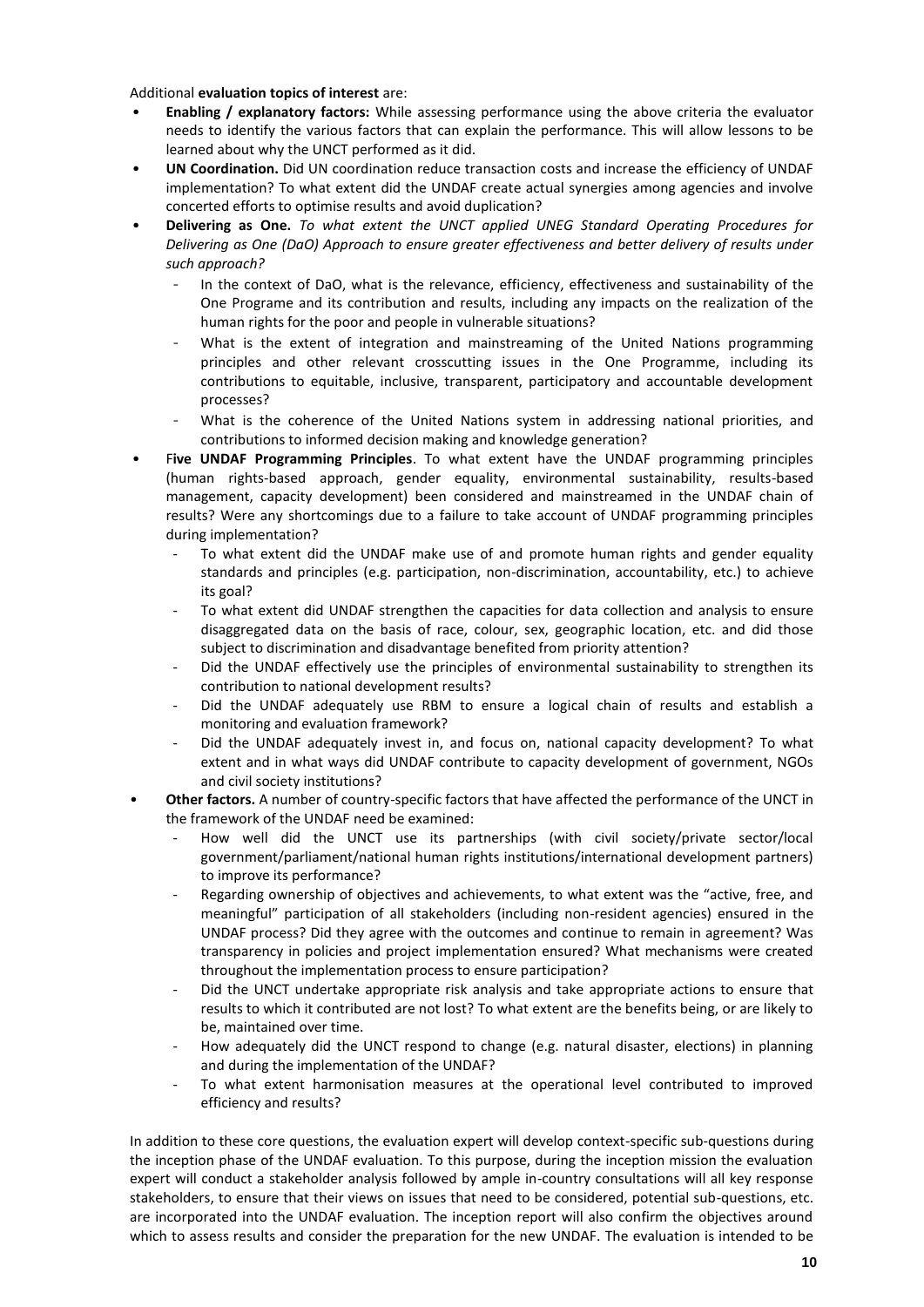Additional **evaluation topics of interest** are:

- **Enabling / explanatory factors:** While assessing performance using the above criteria the evaluator needs to identify the various factors that can explain the performance. This will allow lessons to be learned about why the UNCT performed as it did.
- **UN Coordination.** Did UN coordination reduce transaction costs and increase the efficiency of UNDAF implementation? To what extent did the UNDAF create actual synergies among agencies and involve concerted efforts to optimise results and avoid duplication?
- **Delivering as One.** *To what extent the UNCT applied UNEG Standard Operating Procedures for Delivering as One (DaO) Approach to ensure greater effectiveness and better delivery of results under such approach?*
	- In the context of DaO, what is the relevance, efficiency, effectiveness and sustainability of the One Programe and its contribution and results, including any impacts on the realization of the human rights for the poor and people in vulnerable situations?
	- What is the extent of integration and mainstreaming of the United Nations programming principles and other relevant crosscutting issues in the One Programme, including its contributions to equitable, inclusive, transparent, participatory and accountable development processes?
	- What is the coherence of the United Nations system in addressing national priorities, and contributions to informed decision making and knowledge generation?
- F**ive UNDAF Programming Principles**. To what extent have the UNDAF programming principles (human rights-based approach, gender equality, environmental sustainability, results-based management, capacity development) been considered and mainstreamed in the UNDAF chain of results? Were any shortcomings due to a failure to take account of UNDAF programming principles during implementation?
	- To what extent did the UNDAF make use of and promote human rights and gender equality standards and principles (e.g. participation, non-discrimination, accountability, etc.) to achieve its goal?
	- To what extent did UNDAF strengthen the capacities for data collection and analysis to ensure disaggregated data on the basis of race, colour, sex, geographic location, etc. and did those subject to discrimination and disadvantage benefited from priority attention?
	- Did the UNDAF effectively use the principles of environmental sustainability to strengthen its contribution to national development results?
	- Did the UNDAF adequately use RBM to ensure a logical chain of results and establish a monitoring and evaluation framework?
	- Did the UNDAF adequately invest in, and focus on, national capacity development? To what extent and in what ways did UNDAF contribute to capacity development of government, NGOs and civil society institutions?
- **Other factors.** A number of country-specific factors that have affected the performance of the UNCT in the framework of the UNDAF need be examined:
	- How well did the UNCT use its partnerships (with civil society/private sector/local government/parliament/national human rights institutions/international development partners) to improve its performance?
	- Regarding ownership of objectives and achievements, to what extent was the "active, free, and meaningful" participation of all stakeholders (including non-resident agencies) ensured in the UNDAF process? Did they agree with the outcomes and continue to remain in agreement? Was transparency in policies and project implementation ensured? What mechanisms were created throughout the implementation process to ensure participation?
	- Did the UNCT undertake appropriate risk analysis and take appropriate actions to ensure that results to which it contributed are not lost? To what extent are the benefits being, or are likely to be, maintained over time.
	- How adequately did the UNCT respond to change (e.g. natural disaster, elections) in planning and during the implementation of the UNDAF?
	- To what extent harmonisation measures at the operational level contributed to improved efficiency and results?

In addition to these core questions, the evaluation expert will develop context-specific sub-questions during the inception phase of the UNDAF evaluation. To this purpose, during the inception mission the evaluation expert will conduct a stakeholder analysis followed by ample in-country consultations will all key response stakeholders, to ensure that their views on issues that need to be considered, potential sub-questions, etc. are incorporated into the UNDAF evaluation. The inception report will also confirm the objectives around which to assess results and consider the preparation for the new UNDAF. The evaluation is intended to be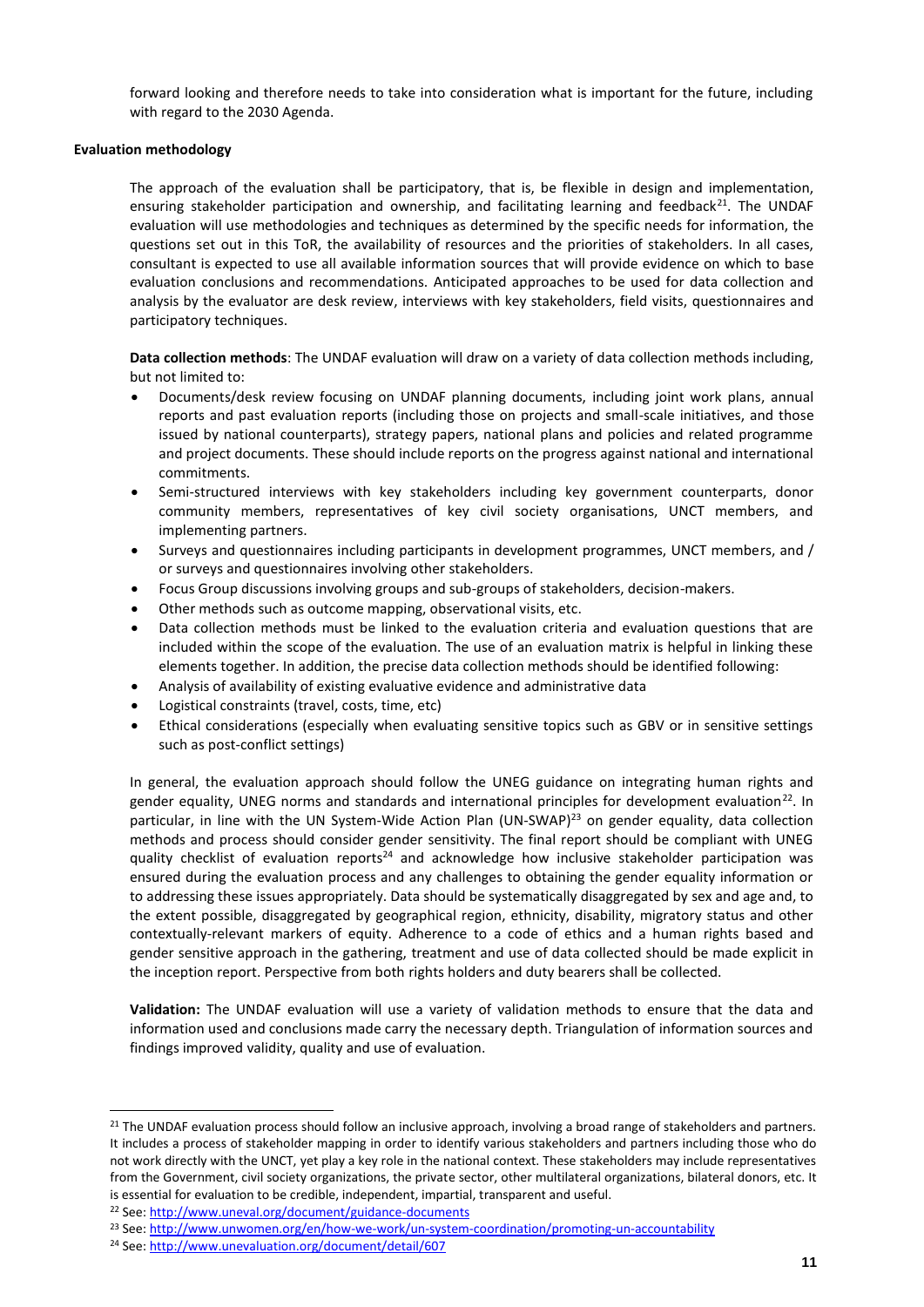forward looking and therefore needs to take into consideration what is important for the future, including with regard to the 2030 Agenda.

## **Evaluation methodology**

The approach of the evaluation shall be participatory, that is, be flexible in design and implementation, ensuring stakeholder participation and ownership, and facilitating learning and feedback<sup>21</sup>. The UNDAF evaluation will use methodologies and techniques as determined by the specific needs for information, the questions set out in this ToR, the availability of resources and the priorities of stakeholders. In all cases, consultant is expected to use all available information sources that will provide evidence on which to base evaluation conclusions and recommendations. Anticipated approaches to be used for data collection and analysis by the evaluator are desk review, interviews with key stakeholders, field visits, questionnaires and participatory techniques.

**Data collection methods**: The UNDAF evaluation will draw on a variety of data collection methods including, but not limited to:

- Documents/desk review focusing on UNDAF planning documents, including joint work plans, annual reports and past evaluation reports (including those on projects and small-scale initiatives, and those issued by national counterparts), strategy papers, national plans and policies and related programme and project documents. These should include reports on the progress against national and international commitments.
- Semi-structured interviews with key stakeholders including key government counterparts, donor community members, representatives of key civil society organisations, UNCT members, and implementing partners.
- Surveys and questionnaires including participants in development programmes, UNCT members, and / or surveys and questionnaires involving other stakeholders.
- Focus Group discussions involving groups and sub-groups of stakeholders, decision-makers.
- Other methods such as outcome mapping, observational visits, etc.
- Data collection methods must be linked to the evaluation criteria and evaluation questions that are included within the scope of the evaluation. The use of an evaluation matrix is helpful in linking these elements together. In addition, the precise data collection methods should be identified following:
- Analysis of availability of existing evaluative evidence and administrative data
- Logistical constraints (travel, costs, time, etc)
- Ethical considerations (especially when evaluating sensitive topics such as GBV or in sensitive settings such as post-conflict settings)

In general, the evaluation approach should follow the UNEG guidance on integrating human rights and gender equality, UNEG norms and standards and international principles for development evaluation<sup>22</sup>. In particular, in line with the UN System-Wide Action Plan (UN-SWAP)<sup>23</sup> on gender equality, data collection methods and process should consider gender sensitivity. The final report should be compliant with UNEG quality checklist of evaluation reports<sup>24</sup> and acknowledge how inclusive stakeholder participation was ensured during the evaluation process and any challenges to obtaining the gender equality information or to addressing these issues appropriately. Data should be systematically disaggregated by sex and age and, to the extent possible, disaggregated by geographical region, ethnicity, disability, migratory status and other contextually-relevant markers of equity. Adherence to a code of ethics and a human rights based and gender sensitive approach in the gathering, treatment and use of data collected should be made explicit in the inception report. Perspective from both rights holders and duty bearers shall be collected.

**Validation:** The UNDAF evaluation will use a variety of validation methods to ensure that the data and information used and conclusions made carry the necessary depth. Triangulation of information sources and findings improved validity, quality and use of evaluation.

<sup>&</sup>lt;sup>21</sup> The UNDAF evaluation process should follow an inclusive approach, involving a broad range of stakeholders and partners. It includes a process of stakeholder mapping in order to identify various stakeholders and partners including those who do not work directly with the UNCT, yet play a key role in the national context. These stakeholders may include representatives from the Government, civil society organizations, the private sector, other multilateral organizations, bilateral donors, etc. It is essential for evaluation to be credible, independent, impartial, transparent and useful.

<sup>22</sup> See[: http://www.uneval.org/document/guidance-documents](http://www.uneval.org/document/guidance-documents)

<sup>&</sup>lt;sup>23</sup> See[: http://www.unwomen.org/en/how-we-work/un-system-coordination/promoting-un-accountability](http://www.unwomen.org/en/how-we-work/un-system-coordination/promoting-un-accountability)

<sup>24</sup> See[: http://www.unevaluation.org/document/detail/607](http://www.unevaluation.org/document/detail/607)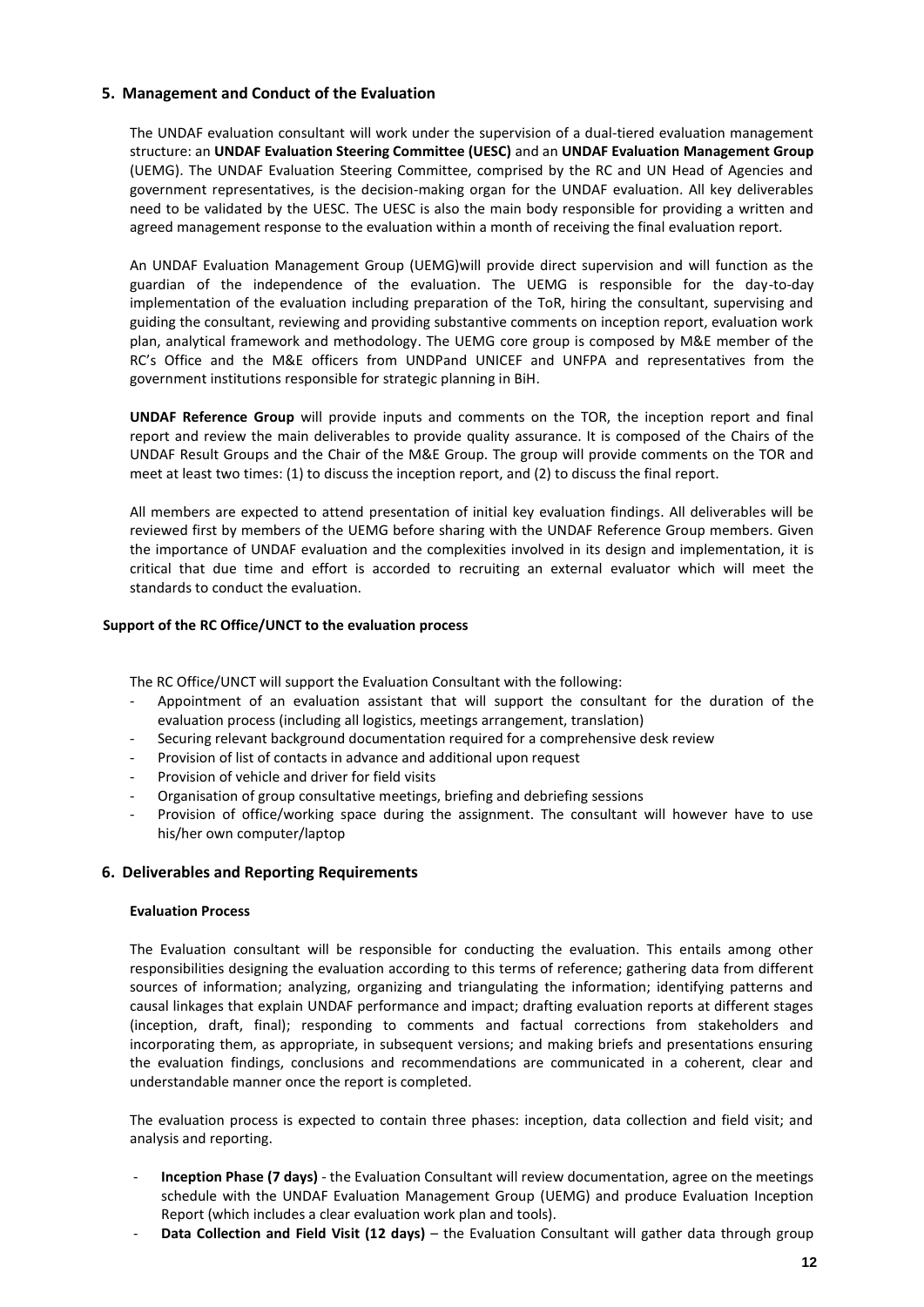# **5. Management and Conduct of the Evaluation**

The UNDAF evaluation consultant will work under the supervision of a dual-tiered evaluation management structure: an **UNDAF Evaluation Steering Committee (UESC)** and an **UNDAF Evaluation Management Group** (UEMG). The UNDAF Evaluation Steering Committee, comprised by the RC and UN Head of Agencies and government representatives, is the decision-making organ for the UNDAF evaluation. All key deliverables need to be validated by the UESC. The UESC is also the main body responsible for providing a written and agreed management response to the evaluation within a month of receiving the final evaluation report.

An UNDAF Evaluation Management Group (UEMG)will provide direct supervision and will function as the guardian of the independence of the evaluation. The UEMG is responsible for the day-to-day implementation of the evaluation including preparation of the ToR, hiring the consultant, supervising and guiding the consultant, reviewing and providing substantive comments on inception report, evaluation work plan, analytical framework and methodology. The UEMG core group is composed by M&E member of the RC's Office and the M&E officers from UNDPand UNICEF and UNFPA and representatives from the government institutions responsible for strategic planning in BiH.

**UNDAF Reference Group** will provide inputs and comments on the TOR, the inception report and final report and review the main deliverables to provide quality assurance. It is composed of the Chairs of the UNDAF Result Groups and the Chair of the M&E Group. The group will provide comments on the TOR and meet at least two times: (1) to discuss the inception report, and (2) to discuss the final report.

All members are expected to attend presentation of initial key evaluation findings. All deliverables will be reviewed first by members of the UEMG before sharing with the UNDAF Reference Group members. Given the importance of UNDAF evaluation and the complexities involved in its design and implementation, it is critical that due time and effort is accorded to recruiting an external evaluator which will meet the standards to conduct the evaluation.

## **Support of the RC Office/UNCT to the evaluation process**

The RC Office/UNCT will support the Evaluation Consultant with the following:

- Appointment of an evaluation assistant that will support the consultant for the duration of the evaluation process (including all logistics, meetings arrangement, translation)
- Securing relevant background documentation required for a comprehensive desk review
- Provision of list of contacts in advance and additional upon request
- Provision of vehicle and driver for field visits
- Organisation of group consultative meetings, briefing and debriefing sessions
- Provision of office/working space during the assignment. The consultant will however have to use his/her own computer/laptop

# **6. Deliverables and Reporting Requirements**

## **Evaluation Process**

The Evaluation consultant will be responsible for conducting the evaluation. This entails among other responsibilities designing the evaluation according to this terms of reference; gathering data from different sources of information; analyzing, organizing and triangulating the information; identifying patterns and causal linkages that explain UNDAF performance and impact; drafting evaluation reports at different stages (inception, draft, final); responding to comments and factual corrections from stakeholders and incorporating them, as appropriate, in subsequent versions; and making briefs and presentations ensuring the evaluation findings, conclusions and recommendations are communicated in a coherent, clear and understandable manner once the report is completed.

The evaluation process is expected to contain three phases: inception, data collection and field visit; and analysis and reporting.

- **Inception Phase (7 days)** the Evaluation Consultant will review documentation, agree on the meetings schedule with the UNDAF Evaluation Management Group (UEMG) and produce Evaluation Inception Report (which includes a clear evaluation work plan and tools).
- Data Collection and Field Visit (12 days) the Evaluation Consultant will gather data through group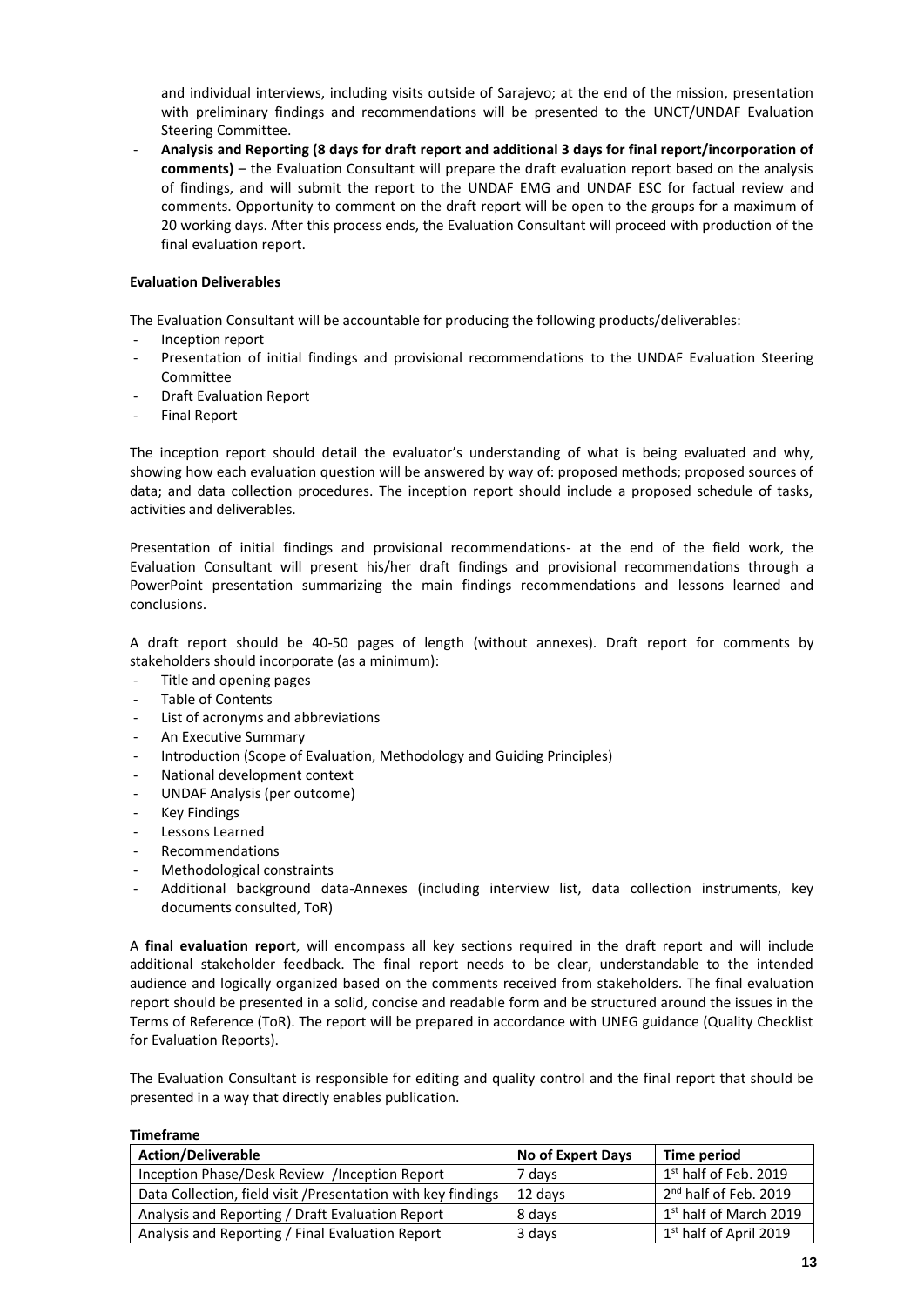and individual interviews, including visits outside of Sarajevo; at the end of the mission, presentation with preliminary findings and recommendations will be presented to the UNCT/UNDAF Evaluation Steering Committee.

- **Analysis and Reporting (8 days for draft report and additional 3 days for final report/incorporation of comments)** – the Evaluation Consultant will prepare the draft evaluation report based on the analysis of findings, and will submit the report to the UNDAF EMG and UNDAF ESC for factual review and comments. Opportunity to comment on the draft report will be open to the groups for a maximum of 20 working days. After this process ends, the Evaluation Consultant will proceed with production of the final evaluation report.

# **Evaluation Deliverables**

The Evaluation Consultant will be accountable for producing the following products/deliverables:

- Inception report
- Presentation of initial findings and provisional recommendations to the UNDAF Evaluation Steering Committee
- Draft Evaluation Report
- Final Report

The inception report should detail the evaluator's understanding of what is being evaluated and why, showing how each evaluation question will be answered by way of: proposed methods; proposed sources of data; and data collection procedures. The inception report should include a proposed schedule of tasks, activities and deliverables.

Presentation of initial findings and provisional recommendations- at the end of the field work, the Evaluation Consultant will present his/her draft findings and provisional recommendations through a PowerPoint presentation summarizing the main findings recommendations and lessons learned and conclusions.

A draft report should be 40-50 pages of length (without annexes). Draft report for comments by stakeholders should incorporate (as a minimum):

- Title and opening pages
- Table of Contents
- List of acronyms and abbreviations
- An Executive Summary
- Introduction (Scope of Evaluation, Methodology and Guiding Principles)
- National development context
- UNDAF Analysis (per outcome)
- Key Findings
- Lessons Learned
- Recommendations
- Methodological constraints
- Additional background data-Annexes (including interview list, data collection instruments, key documents consulted, ToR)

A **final evaluation report**, will encompass all key sections required in the draft report and will include additional stakeholder feedback. The final report needs to be clear, understandable to the intended audience and logically organized based on the comments received from stakeholders. The final evaluation report should be presented in a solid, concise and readable form and be structured around the issues in the Terms of Reference (ToR). The report will be prepared in accordance with UNEG guidance (Quality Checklist for Evaluation Reports).

The Evaluation Consultant is responsible for editing and quality control and the final report that should be presented in a way that directly enables publication.

|--|

| <b>Action/Deliverable</b>                                     | <b>No of Expert Days</b> | Time period                        |
|---------------------------------------------------------------|--------------------------|------------------------------------|
| Inception Phase/Desk Review /Inception Report                 | 7 davs                   | 1 <sup>st</sup> half of Feb. 2019  |
| Data Collection, field visit / Presentation with key findings | 12 days                  | 2 <sup>nd</sup> half of Feb. 2019  |
| Analysis and Reporting / Draft Evaluation Report              | 8 days                   | 1 <sup>st</sup> half of March 2019 |
| Analysis and Reporting / Final Evaluation Report              | 3 days                   | 1 <sup>st</sup> half of April 2019 |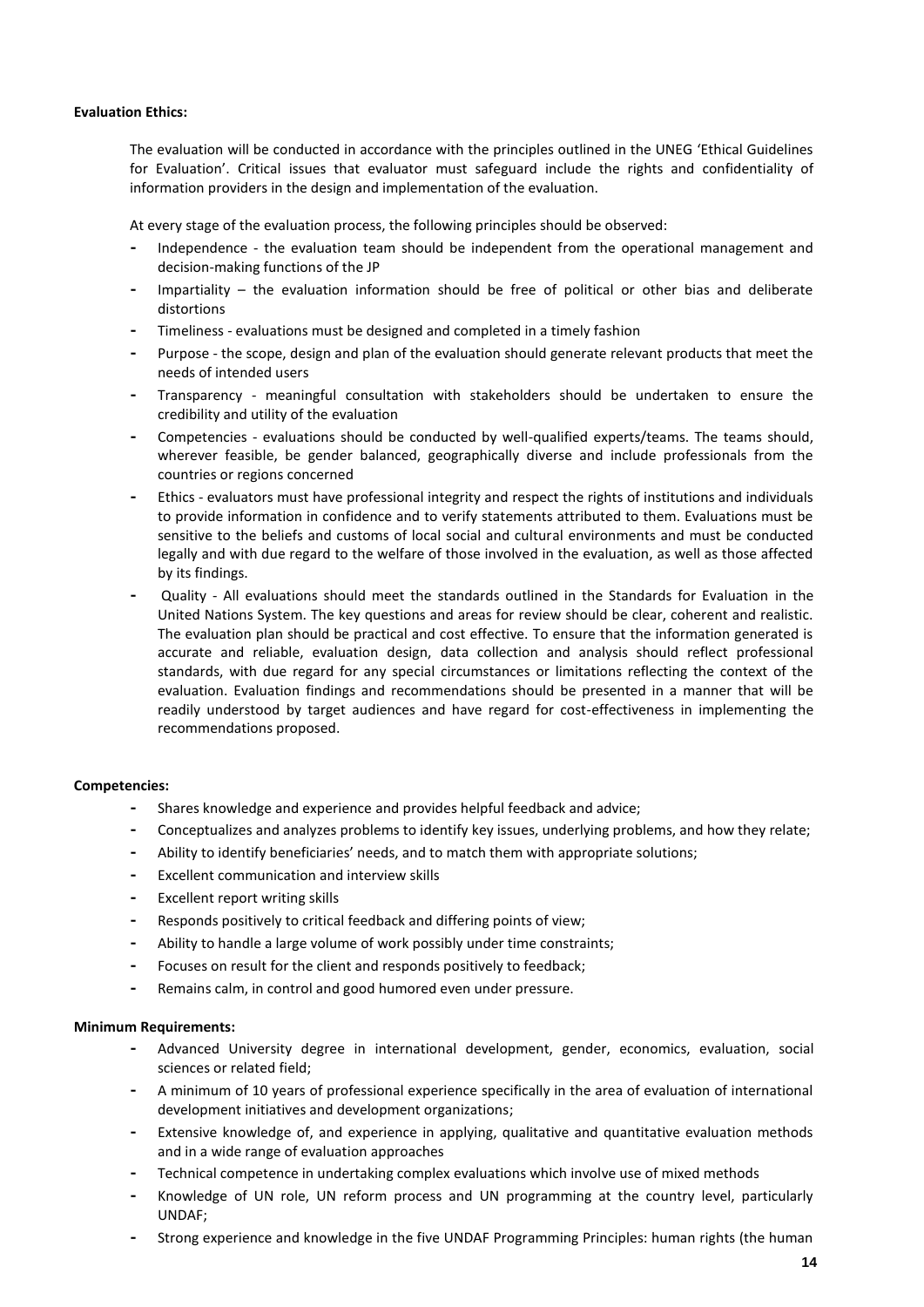## **Evaluation Ethics:**

The evaluation will be conducted in accordance with the principles outlined in the UNEG 'Ethical Guidelines for Evaluation'. Critical issues that evaluator must safeguard include the rights and confidentiality of information providers in the design and implementation of the evaluation.

At every stage of the evaluation process, the following principles should be observed:

- **-** Independence the evaluation team should be independent from the operational management and decision-making functions of the JP
- **-** Impartiality the evaluation information should be free of political or other bias and deliberate distortions
- **-** Timeliness evaluations must be designed and completed in a timely fashion
- **-** Purpose the scope, design and plan of the evaluation should generate relevant products that meet the needs of intended users
- **-** Transparency meaningful consultation with stakeholders should be undertaken to ensure the credibility and utility of the evaluation
- **-** Competencies evaluations should be conducted by well-qualified experts/teams. The teams should, wherever feasible, be gender balanced, geographically diverse and include professionals from the countries or regions concerned
- **-** Ethics evaluators must have professional integrity and respect the rights of institutions and individuals to provide information in confidence and to verify statements attributed to them. Evaluations must be sensitive to the beliefs and customs of local social and cultural environments and must be conducted legally and with due regard to the welfare of those involved in the evaluation, as well as those affected by its findings.
- **-** Quality All evaluations should meet the standards outlined in the Standards for Evaluation in the United Nations System. The key questions and areas for review should be clear, coherent and realistic. The evaluation plan should be practical and cost effective. To ensure that the information generated is accurate and reliable, evaluation design, data collection and analysis should reflect professional standards, with due regard for any special circumstances or limitations reflecting the context of the evaluation. Evaluation findings and recommendations should be presented in a manner that will be readily understood by target audiences and have regard for cost-effectiveness in implementing the recommendations proposed.

#### **Competencies:**

- **-** Shares knowledge and experience and provides helpful feedback and advice;
- **-** Conceptualizes and analyzes problems to identify key issues, underlying problems, and how they relate;
- **-** Ability to identify beneficiaries' needs, and to match them with appropriate solutions;
- **-** Excellent communication and interview skills
- **-** Excellent report writing skills
- **-** Responds positively to critical feedback and differing points of view;
- **-** Ability to handle a large volume of work possibly under time constraints;
- **-** Focuses on result for the client and responds positively to feedback;
- **-** Remains calm, in control and good humored even under pressure.

#### **Minimum Requirements:**

- **-** Advanced University degree in international development, gender, economics, evaluation, social sciences or related field;
- **-** A minimum of 10 years of professional experience specifically in the area of evaluation of international development initiatives and development organizations;
- **-** Extensive knowledge of, and experience in applying, qualitative and quantitative evaluation methods and in a wide range of evaluation approaches
- **-** Technical competence in undertaking complex evaluations which involve use of mixed methods
- **-** Knowledge of UN role, UN reform process and UN programming at the country level, particularly UNDAF;
- **-** Strong experience and knowledge in the five UNDAF Programming Principles: human rights (the human